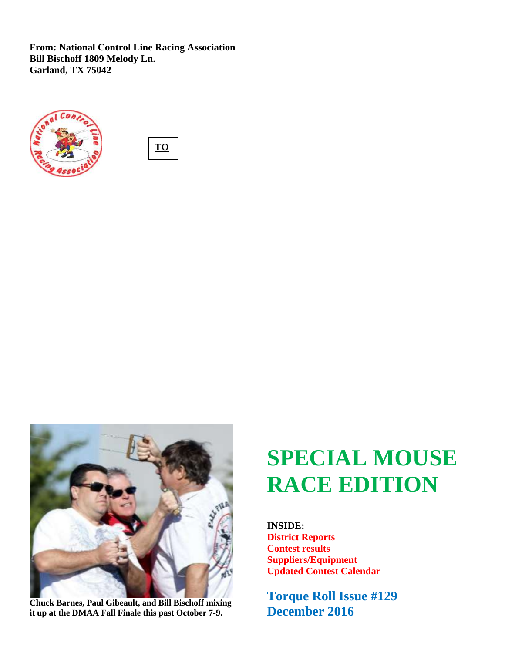**From: National Control Line Racing Association Bill Bischoff 1809 Melody Ln. Garland, TX 75042**







**Chuck Barnes, Paul Gibeault, and Bill Bischoff mixing it up at the DMAA Fall Finale this past October 7-9.**

# **SPECIAL MOUSE RACE EDITION**

**INSIDE: District Reports Contest results Suppliers/Equipment Updated Contest Calendar**

**Torque Roll Issue #129 December 2016**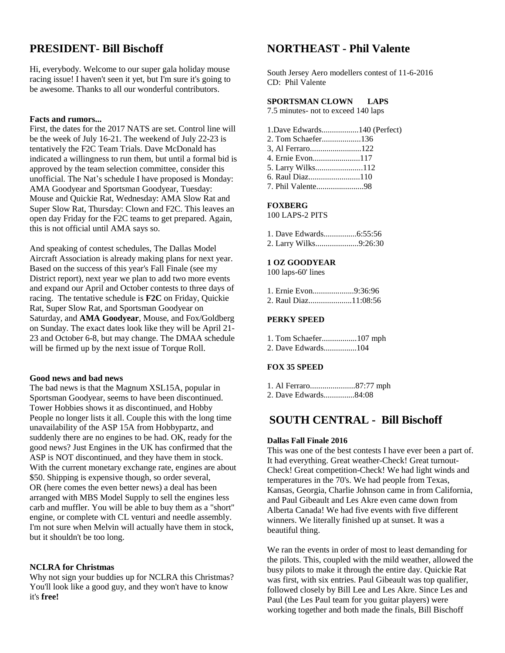### **PRESIDENT- Bill Bischoff**

Hi, everybody. Welcome to our super gala holiday mouse racing issue! I haven't seen it yet, but I'm sure it's going to be awesome. Thanks to all our wonderful contributors.

### **Facts and rumors...**

First, the dates for the 2017 NATS are set. Control line will be the week of July 16-21. The weekend of July 22-23 is tentatively the F2C Team Trials. Dave McDonald has indicated a willingness to run them, but until a formal bid is approved by the team selection committee, consider this unofficial. The Nat's schedule I have proposed is Monday: AMA Goodyear and Sportsman Goodyear, Tuesday: Mouse and Quickie Rat, Wednesday: AMA Slow Rat and Super Slow Rat, Thursday: Clown and F2C. This leaves an open day Friday for the F2C teams to get prepared. Again, this is not official until AMA says so.

And speaking of contest schedules, The Dallas Model Aircraft Association is already making plans for next year. Based on the success of this year's Fall Finale (see my District report), next year we plan to add two more events and expand our April and October contests to three days of racing. The tentative schedule is **F2C** on Friday, Quickie Rat, Super Slow Rat, and Sportsman Goodyear on Saturday, and **AMA Goodyear**, Mouse, and Fox/Goldberg on Sunday. The exact dates look like they will be April 21- 23 and October 6-8, but may change. The DMAA schedule will be firmed up by the next issue of Torque Roll.

### **Good news and bad news**

The bad news is that the Magnum XSL15A, popular in Sportsman Goodyear, seems to have been discontinued. Tower Hobbies shows it as discontinued, and Hobby People no longer lists it all. Couple this with the long time unavailability of the ASP 15A from Hobbypartz, and suddenly there are no engines to be had. OK, ready for the good news? Just Engines in the UK has confirmed that the ASP is NOT discontinued, and they have them in stock. With the current monetary exchange rate, engines are about \$50. Shipping is expensive though, so order several, OR (here comes the even better news) a deal has been arranged with MBS Model Supply to sell the engines less carb and muffler. You will be able to buy them as a "short" engine, or complete with CL venturi and needle assembly. I'm not sure when Melvin will actually have them in stock, but it shouldn't be too long.

### **NCLRA for Christmas**

Why not sign your buddies up for NCLRA this Christmas? You'll look like a good guy, and they won't have to know it's **free!**

### **NORTHEAST - Phil Valente**

South Jersey Aero modellers contest of 11-6-2016 CD: Phil Valente

### **SPORTSMAN CLOWN LAPS**

7.5 minutes- not to exceed 140 laps

| 1.Dave Edwards140 (Perfect) |  |
|-----------------------------|--|
|                             |  |
|                             |  |
|                             |  |
| 5. Larry Wilks112           |  |
|                             |  |
|                             |  |

### **FOXBERG**

100 LAPS-2 PITS

|  | 2. Larry Wilks9:26:30 |  |
|--|-----------------------|--|

### **1 OZ GOODYEAR**

100 laps-60' lines

| 1. Ernie Evon9:36:96 |  |
|----------------------|--|
|                      |  |

### **PERKY SPEED**

| 1. Tom Schaefer107 mph |  |
|------------------------|--|
|                        |  |

### **FOX 35 SPEED**

| 1. Al Ferraro87:77 mph |  |
|------------------------|--|
| 2. Dave Edwards84:08   |  |

### **SOUTH CENTRAL - Bill Bischoff**

### **Dallas Fall Finale 2016**

This was one of the best contests I have ever been a part of. It had everything. Great weather-Check! Great turnout-Check! Great competition-Check! We had light winds and temperatures in the 70's. We had people from Texas, Kansas, Georgia, Charlie Johnson came in from California, and Paul Gibeault and Les Akre even came down from Alberta Canada! We had five events with five different winners. We literally finished up at sunset. It was a beautiful thing.

We ran the events in order of most to least demanding for the pilots. This, coupled with the mild weather, allowed the busy pilots to make it through the entire day. Quickie Rat was first, with six entries. Paul Gibeault was top qualifier, followed closely by Bill Lee and Les Akre. Since Les and Paul (the Les Paul team for you guitar players) were working together and both made the finals, Bill Bischoff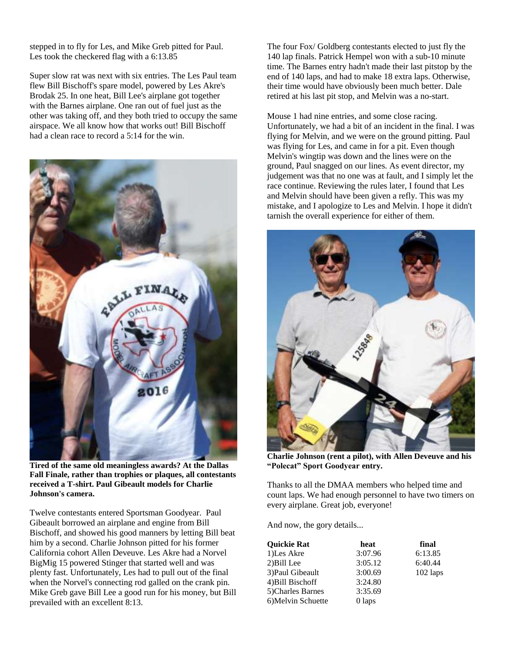stepped in to fly for Les, and Mike Greb pitted for Paul. Les took the checkered flag with a 6:13.85

Super slow rat was next with six entries. The Les Paul team flew Bill Bischoff's spare model, powered by Les Akre's Brodak 25. In one heat, Bill Lee's airplane got together with the Barnes airplane. One ran out of fuel just as the other was taking off, and they both tried to occupy the same airspace. We all know how that works out! Bill Bischoff had a clean race to record a 5:14 for the win.



**Tired of the same old meaningless awards? At the Dallas Fall Finale, rather than trophies or plaques, all contestants received a T-shirt. Paul Gibeault models for Charlie Johnson's camera.**

Twelve contestants entered Sportsman Goodyear. Paul Gibeault borrowed an airplane and engine from Bill Bischoff, and showed his good manners by letting Bill beat him by a second. Charlie Johnson pitted for his former California cohort Allen Deveuve. Les Akre had a Norvel BigMig 15 powered Stinger that started well and was plenty fast. Unfortunately, Les had to pull out of the final when the Norvel's connecting rod galled on the crank pin. Mike Greb gave Bill Lee a good run for his money, but Bill prevailed with an excellent 8:13.

The four Fox/ Goldberg contestants elected to just fly the 140 lap finals. Patrick Hempel won with a sub-10 minute time. The Barnes entry hadn't made their last pitstop by the end of 140 laps, and had to make 18 extra laps. Otherwise, their time would have obviously been much better. Dale retired at his last pit stop, and Melvin was a no-start.

Mouse 1 had nine entries, and some close racing. Unfortunately, we had a bit of an incident in the final. I was flying for Melvin, and we were on the ground pitting. Paul was flying for Les, and came in for a pit. Even though Melvin's wingtip was down and the lines were on the ground, Paul snagged on our lines. As event director, my judgement was that no one was at fault, and I simply let the race continue. Reviewing the rules later, I found that Les and Melvin should have been given a refly. This was my mistake, and I apologize to Les and Melvin. I hope it didn't tarnish the overall experience for either of them.



**Charlie Johnson (rent a pilot), with Allen Deveuve and his "Polecat" Sport Goodyear entry.**

Thanks to all the DMAA members who helped time and count laps. We had enough personnel to have two timers on every airplane. Great job, everyone!

And now, the gory details...

| <b>Ouickie Rat</b> | heat    | final      |
|--------------------|---------|------------|
| 1)Les Akre         | 3:07.96 | 6:13.85    |
| 2) Bill Lee        | 3:05.12 | 6:40.44    |
| 3) Paul Gibeault   | 3:00.69 | $102$ laps |
| 4) Bill Bischoff   | 3:24.80 |            |
| 5)Charles Barnes   | 3:35.69 |            |
| 6) Melvin Schuette | 0 laps  |            |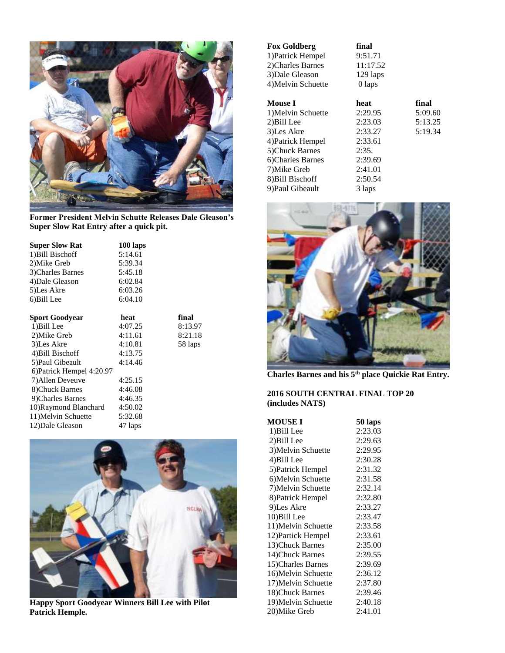

**Former President Melvin Schutte Releases Dale Gleason's Super Slow Rat Entry after a quick pit.**

| <b>Super Slow Rat</b>     | 100 laps |         |
|---------------------------|----------|---------|
| 1) Bill Bischoff          | 5:14.61  |         |
| 2) Mike Greb              | 5:39.34  |         |
| 3) Charles Barnes         | 5:45.18  |         |
| 4) Dale Gleason           | 6:02.84  |         |
| 5)Les Akre                | 6:03.26  |         |
| 6)Bill Lee                | 6:04.10  |         |
|                           |          |         |
| <b>Sport Goodyear</b>     | heat     | final   |
| 1) Bill Lee               | 4:07.25  | 8:13.97 |
| 2) Mike Greb              | 4:11.61  | 8:21.18 |
| 3) Les Akre               | 4:10.81  | 58 laps |
| 4) Bill Bischoff          | 4:13.75  |         |
| 5) Paul Gibeault          | 4:14.46  |         |
| 6) Patrick Hempel 4:20.97 |          |         |
| 7) Allen Deveuve          | 4:25.15  |         |
| 8) Chuck Barnes           | 4:46.08  |         |
| 9) Charles Barnes         | 4:46.35  |         |
| 10)Raymond Blanchard      | 4:50.02  |         |
| 11) Melvin Schuette       | 5:32.68  |         |
| 12) Dale Gleason          | 47 laps  |         |



**Happy Sport Goodyear Winners Bill Lee with Pilot Patrick Hemple.**

| <b>Fox Goldberg</b> | final      |         |
|---------------------|------------|---------|
| 1) Patrick Hempel   | 9:51.71    |         |
| 2) Charles Barnes   | 11:17.52   |         |
| 3) Dale Gleason     | $129$ laps |         |
| 4) Melvin Schuette  | 0 laps     |         |
| <b>Mouse I</b>      | heat       | final   |
| 1) Melvin Schuette  | 2:29.95    | 5:09.60 |
| 2) Bill Lee         | 2:23.03    | 5:13.25 |
| 3) Les Akre         | 2:33.27    | 5:19.34 |
| 4) Patrick Hempel   | 2:33.61    |         |
| 5) Chuck Barnes     | 2:35.      |         |
| 6)Charles Barnes    | 2:39.69    |         |
| 7) Mike Greb        | 2:41.01    |         |
| 8) Bill Bischoff    | 2:50.54    |         |
| 9) Paul Gibeault    | 3 laps     |         |



**Charles Barnes and his 5th place Quickie Rat Entry.**

### **2016 SOUTH CENTRAL FINAL TOP 20 (includes NATS)**

| <b>MOUSE I</b>      | 50 laps |
|---------------------|---------|
| 1) Bill Lee         | 2:23.03 |
| 2) Bill Lee         | 2:29.63 |
| 3) Melvin Schuette  | 2:29.95 |
| 4) Bill Lee         | 2:30.28 |
| 5) Patrick Hempel   | 2:31.32 |
| 6) Melvin Schuette  | 2:31.58 |
| 7) Melvin Schuette  | 2:32.14 |
| 8) Patrick Hempel   | 2:32.80 |
| 9)Les Akre          | 2:33.27 |
| 10) Bill Lee        | 2:33.47 |
| 11) Melvin Schuette | 2:33.58 |
| 12) Partick Hempel  | 2:33.61 |
| 13) Chuck Barnes    | 2:35.00 |
| 14) Chuck Barnes    | 2:39.55 |
| 15)Charles Barnes   | 2:39.69 |
| 16) Melvin Schuette | 2:36.12 |
| 17) Melvin Schuette | 2:37.80 |
| 18) Chuck Barnes    | 2:39.46 |
| 19) Melvin Schuette | 2:40.18 |
| 20)Mike Greb        | 2:41.01 |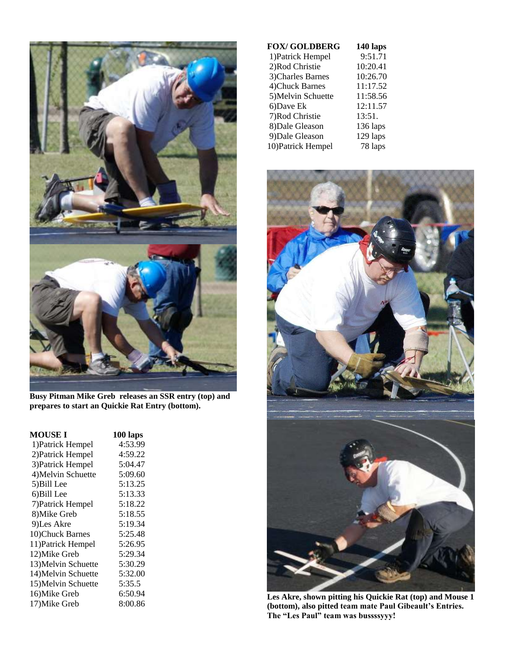

**Busy Pitman Mike Greb releases an SSR entry (top) and prepares to start an Quickie Rat Entry (bottom).**

| MOUSE I             | 100 laps |
|---------------------|----------|
| 1) Patrick Hempel   | 4:53.99  |
| 2) Patrick Hempel   | 4:59.22  |
| 3) Patrick Hempel   | 5:04.47  |
| 4) Melvin Schuette  | 5:09.60  |
| 5) Bill Lee         | 5:13.25  |
| 6)Bill Lee          | 5:13.33  |
| 7) Patrick Hempel   | 5:18.22  |
| 8) Mike Greb        | 5:18.55  |
| 9)Les Akre          | 5:19.34  |
| 10)Chuck Barnes     | 5:25.48  |
| 11) Patrick Hempel  | 5:26.95  |
| 12) Mike Greb       | 5:29.34  |
| 13) Melvin Schuette | 5:30.29  |
| 14) Melvin Schuette | 5:32.00  |
| 15) Melvin Schuette | 5:35.5   |
| 16) Mike Greb       | 6:50.94  |
| 17) Mike Greb       | 8:00.86  |

| <b>FOX/GOLDBERG</b> | 140 laps   |
|---------------------|------------|
| 1) Patrick Hempel   | 9:51.71    |
| 2)Rod Christie      | 10:20.41   |
| 3) Charles Barnes   | 10:26.70   |
| 4) Chuck Barnes     | 11:17.52   |
| 5) Melvin Schuette  | 11:58.56   |
| 6)Dave Ek           | 12:11.57   |
| 7)Rod Christie      | 13:51.     |
| 8) Dale Gleason     | $136$ laps |
| 9) Dale Gleason     | 129 laps   |
| 10) Patrick Hempel  | 78 laps    |



**Les Akre, shown pitting his Quickie Rat (top) and Mouse 1 (bottom), also pitted team mate Paul Gibeault's Entries. The "Les Paul" team was bussssyyy!**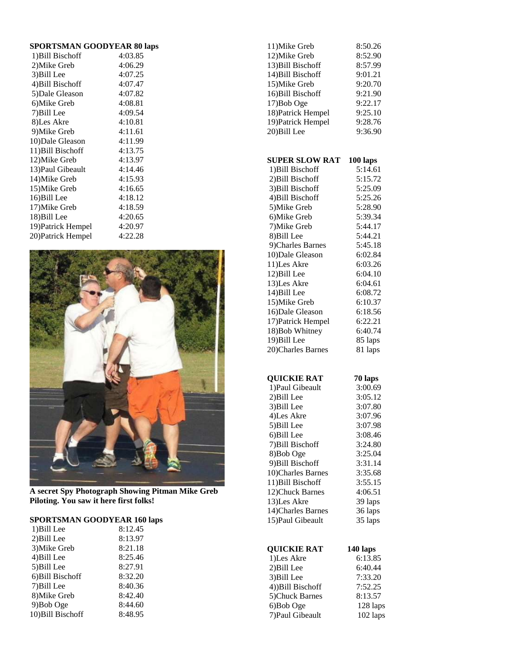| <b>SPORTSMAN GOODYEAR 80 laps</b> |  |  |  |
|-----------------------------------|--|--|--|
|-----------------------------------|--|--|--|

| 1) Bill Bischoff   | 4:03.85 |
|--------------------|---------|
| 2) Mike Greb       | 4:06.29 |
| 3) Bill Lee        | 4:07.25 |
| 4) Bill Bischoff   | 4:07.47 |
| 5) Dale Gleason    | 4:07.82 |
| 6)Mike Greb        | 4:08.81 |
| 7) Bill Lee        | 4:09.54 |
| 8)Les Akre         | 4:10.81 |
| 9) Mike Greb       | 4:11.61 |
| 10) Dale Gleason   | 4:11.99 |
| 11) Bill Bischoff  | 4:13.75 |
| 12)Mike Greb       | 4:13.97 |
| 13) Paul Gibeault  | 4:14.46 |
| 14) Mike Greb      | 4:15.93 |
| 15)Mike Greb       | 4:16.65 |
| 16) Bill Lee       | 4:18.12 |
| 17) Mike Greb      | 4:18.59 |
| 18) Bill Lee       | 4:20.65 |
| 19) Patrick Hempel | 4:20.97 |
| 20) Patrick Hempel | 4:22.28 |
|                    |         |



**A secret Spy Photograph Showing Pitman Mike Greb Piloting. You saw it here first folks!**

#### **SPORTSMAN GOODYEAR 160 laps**

| 1) Bill Lee       | 8:12.45 |
|-------------------|---------|
| 2) Bill Lee       | 8:13.97 |
| 3) Mike Greb      | 8:21.18 |
| 4) Bill Lee       | 8:25.46 |
| 5) Bill Lee       | 8:27.91 |
| 6) Bill Bischoff  | 8:32.20 |
| 7) Bill Lee       | 8:40.36 |
| 8) Mike Greb      | 8:42.40 |
| 9)Bob Oge         | 8:44.60 |
| 10) Bill Bischoff | 8:48.95 |

| 11) Mike Greb      | 8:50.26 |
|--------------------|---------|
| 12) Mike Greb      | 8:52.90 |
| 13) Bill Bischoff  | 8:57.99 |
| 14) Bill Bischoff  | 9:01.21 |
| 15) Mike Greb      | 9:20.70 |
| 16) Bill Bischoff  | 9:21.90 |
| 17) Bob Oge        | 9:22.17 |
| 18) Patrick Hempel | 9:25.10 |
| 19) Patrick Hempel | 9:28.76 |
| 20)Bill Lee        | 9:36.90 |
|                    |         |

### **SUPER SLOW RAT 100 laps**

| 1) Bill Bischoff   | 5:14.61 |
|--------------------|---------|
| 2) Bill Bischoff   | 5:15.72 |
| 3) Bill Bischoff   | 5:25.09 |
| 4) Bill Bischoff   | 5:25.26 |
| 5) Mike Greb       | 5:28.90 |
| 6) Mike Greb       | 5:39.34 |
| 7) Mike Greb       | 5:44.17 |
| 8)Bill Lee         | 5:44.21 |
| 9)Charles Barnes   | 5:45.18 |
| 10)Dale Gleason    | 6:02.84 |
| 11)Les Akre        | 6:03.26 |
| 12) Bill Lee       | 6:04.10 |
| 13)Les Akre        | 6:04.61 |
| 14) Bill Lee       | 6:08.72 |
| 15) Mike Greb      | 6:10.37 |
| 16) Dale Gleason   | 6:18.56 |
| 17) Patrick Hempel | 6:22.21 |
| 18) Bob Whitney    | 6:40.74 |
| 19) Bill Lee       | 85 laps |
| 20)Charles Barnes  | 81 laps |

### **QUICKIE RAT 70 laps**

| 1) Paul Gibeault   | 3:00.69 |
|--------------------|---------|
| 2) Bill Lee        | 3:05.12 |
| 3) Bill Lee        | 3:07.80 |
| 4)Les Akre         | 3:07.96 |
| 5) Bill Lee        | 3:07.98 |
| 6) Bill Lee        | 3:08.46 |
| 7) Bill Bischoff   | 3:24.80 |
| 8) Bob Oge         | 3:25.04 |
| 9) Bill Bischoff   | 3:31.14 |
| 10) Charles Barnes | 3:35.68 |
| 11) Bill Bischoff  | 3:55.15 |
| 12) Chuck Barnes   | 4:06.51 |
| 13)Les Akre        | 39 laps |
| 14) Charles Barnes | 36 laps |
| 15) Paul Gibeault  | 35 laps |
|                    |         |

| <b>QUICKIE RAT</b> | 140 laps |
|--------------------|----------|
| 1)Les Akre         | 6:13.85  |
| 2) Bill Lee        | 6:40.44  |
| 3) Bill Lee        | 7:33.20  |
| 4))Bill Bischoff   | 7:52.25  |
| 5) Chuck Barnes    | 8:13.57  |
| 6)Bob Oge          | 128 laps |
| 7) Paul Gibeault   | 102 laps |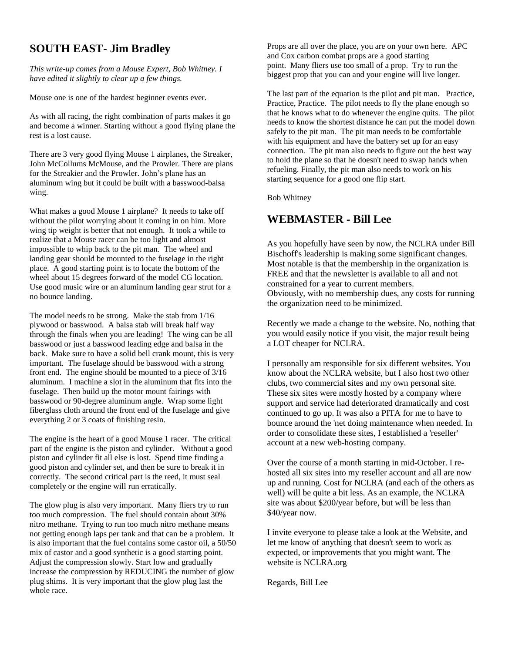### **SOUTH EAST- Jim Bradley**

*This write-up comes from a Mouse Expert, Bob Whitney. I have edited it slightly to clear up a few things.*

Mouse one is one of the hardest beginner events ever.

As with all racing, the right combination of parts makes it go and become a winner. Starting without a good flying plane the rest is a lost cause.

There are 3 very good flying Mouse 1 airplanes, the Streaker, John McCollums McMouse, and the Prowler. There are plans for the Streakier and the Prowler. John's plane has an aluminum wing but it could be built with a basswood-balsa wing.

What makes a good Mouse 1 airplane? It needs to take off without the pilot worrying about it coming in on him. More wing tip weight is better that not enough. It took a while to realize that a Mouse racer can be too light and almost impossible to whip back to the pit man. The wheel and landing gear should be mounted to the fuselage in the right place. A good starting point is to locate the bottom of the wheel about 15 degrees forward of the model CG location. Use good music wire or an aluminum landing gear strut for a no bounce landing.

The model needs to be strong. Make the stab from 1/16 plywood or basswood. A balsa stab will break half way through the finals when you are leading! The wing can be all basswood or just a basswood leading edge and balsa in the back. Make sure to have a solid bell crank mount, this is very important. The fuselage should be basswood with a strong front end. The engine should be mounted to a piece of 3/16 aluminum. I machine a slot in the aluminum that fits into the fuselage. Then build up the motor mount fairings with basswood or 90-degree aluminum angle. Wrap some light fiberglass cloth around the front end of the fuselage and give everything 2 or 3 coats of finishing resin.

The engine is the heart of a good Mouse 1 racer. The critical part of the engine is the piston and cylinder. Without a good piston and cylinder fit all else is lost. Spend time finding a good piston and cylinder set, and then be sure to break it in correctly. The second critical part is the reed, it must seal completely or the engine will run erratically.

The glow plug is also very important. Many fliers try to run too much compression. The fuel should contain about 30% nitro methane. Trying to run too much nitro methane means not getting enough laps per tank and that can be a problem. It is also important that the fuel contains some castor oil, a 50/50 mix of castor and a good synthetic is a good starting point. Adjust the compression slowly. Start low and gradually increase the compression by REDUCING the number of glow plug shims. It is very important that the glow plug last the whole race.

Props are all over the place, you are on your own here. APC and Cox carbon combat props are a good starting point. Many fliers use too small of a prop. Try to run the biggest prop that you can and your engine will live longer.

The last part of the equation is the pilot and pit man. Practice, Practice, Practice. The pilot needs to fly the plane enough so that he knows what to do whenever the engine quits. The pilot needs to know the shortest distance he can put the model down safely to the pit man. The pit man needs to be comfortable with his equipment and have the battery set up for an easy connection. The pit man also needs to figure out the best way to hold the plane so that he doesn't need to swap hands when refueling. Finally, the pit man also needs to work on his starting sequence for a good one flip start.

Bob Whitney

### **WEBMASTER - Bill Lee**

As you hopefully have seen by now, the NCLRA under Bill Bischoff's leadership is making some significant changes. Most notable is that the membership in the organization is FREE and that the newsletter is available to all and not constrained for a year to current members. Obviously, with no membership dues, any costs for running the organization need to be minimized.

Recently we made a change to the website. No, nothing that you would easily notice if you visit, the major result being a LOT cheaper for NCLRA.

I personally am responsible for six different websites. You know about the NCLRA website, but I also host two other clubs, two commercial sites and my own personal site. These six sites were mostly hosted by a company where support and service had deteriorated dramatically and cost continued to go up. It was also a PITA for me to have to bounce around the 'net doing maintenance when needed. In order to consolidate these sites, I established a 'reseller' account at a new web-hosting company.

Over the course of a month starting in mid-October. I rehosted all six sites into my reseller account and all are now up and running. Cost for NCLRA (and each of the others as well) will be quite a bit less. As an example, the NCLRA site was about \$200/year before, but will be less than \$40/year now.

I invite everyone to please take a look at the Website, and let me know of anything that doesn't seem to work as expected, or improvements that you might want. The website is NCLRA.org

Regards, Bill Lee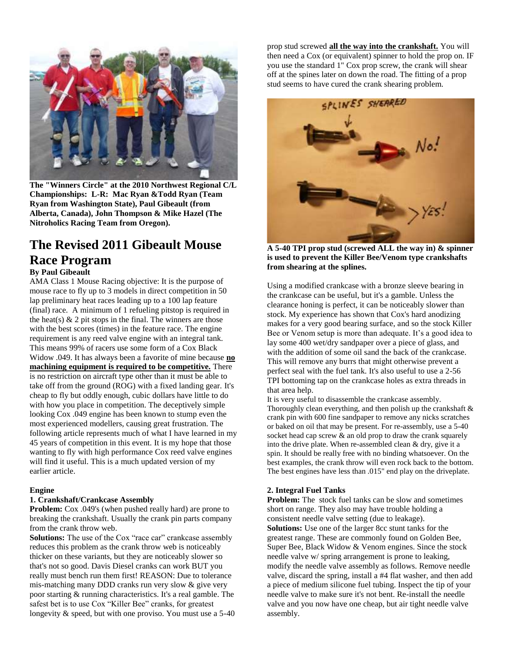

**The "Winners Circle" at the 2010 Northwest Regional C/L Championships: L-R: Mac Ryan &Todd Ryan (Team Ryan from Washington State), Paul Gibeault (from Alberta, Canada), John Thompson & Mike Hazel (The Nitroholics Racing Team from Oregon).** 

### **The Revised 2011 Gibeault Mouse Race Program**

### **By Paul Gibeault**

AMA Class 1 Mouse Racing objective: It is the purpose of mouse race to fly up to 3 models in direct competition in 50 lap preliminary heat races leading up to a 100 lap feature (final) race. A minimum of 1 refueling pitstop is required in the heat(s)  $\&$  2 pit stops in the final. The winners are those with the best scores (times) in the feature race. The engine requirement is any reed valve engine with an integral tank. This means 99% of racers use some form of a Cox Black Widow .049. It has always been a favorite of mine because **no machining equipment is required to be competitive.** There is no restriction on aircraft type other than it must be able to take off from the ground (ROG) with a fixed landing gear. It's cheap to fly but oddly enough, cubic dollars have little to do with how you place in competition. The deceptively simple looking Cox .049 engine has been known to stump even the most experienced modellers, causing great frustration. The following article represents much of what I have learned in my 45 years of competition in this event. It is my hope that those wanting to fly with high performance Cox reed valve engines will find it useful. This is a much updated version of my earlier article.

### **Engine**

### **1. Crankshaft/Crankcase Assembly**

**Problem:** Cox .049's (when pushed really hard) are prone to breaking the crankshaft. Usually the crank pin parts company from the crank throw web.

**Solutions:** The use of the Cox "race car" crankcase assembly reduces this problem as the crank throw web is noticeably thicker on these variants, but they are noticeably slower so that's not so good. Davis Diesel cranks can work BUT you really must bench run them first! REASON: Due to tolerance mis-matching many DDD cranks run very slow & give very poor starting & running characteristics. It's a real gamble. The safest bet is to use Cox "Killer Bee" cranks, for greatest longevity & speed, but with one proviso. You must use a 5-40 prop stud screwed **all the way into the crankshaft.** You will then need a Cox (or equivalent) spinner to hold the prop on. IF you use the standard 1" Cox prop screw, the crank will shear off at the spines later on down the road. The fitting of a prop stud seems to have cured the crank shearing problem.



**A 5-40 TPI prop stud (screwed ALL the way in) & spinner is used to prevent the Killer Bee/Venom type crankshafts from shearing at the splines.**

Using a modified crankcase with a bronze sleeve bearing in the crankcase can be useful, but it's a gamble. Unless the clearance honing is perfect, it can be noticeably slower than stock. My experience has shown that Cox's hard anodizing makes for a very good bearing surface, and so the stock Killer Bee or Venom setup is more than adequate. It's a good idea to lay some 400 wet/dry sandpaper over a piece of glass, and with the addition of some oil sand the back of the crankcase. This will remove any burrs that might otherwise prevent a perfect seal with the fuel tank. It's also useful to use a 2-56 TPI bottoming tap on the crankcase holes as extra threads in that area help.

It is very useful to disassemble the crankcase assembly. Thoroughly clean everything, and then polish up the crankshaft  $\&$ crank pin with 600 fine sandpaper to remove any nicks scratches or baked on oil that may be present. For re-assembly, use a 5-40 socket head cap screw & an old prop to draw the crank squarely into the drive plate. When re-assembled clean & dry, give it a spin. It should be really free with no binding whatsoever. On the best examples, the crank throw will even rock back to the bottom. The best engines have less than .015" end play on the driveplate.

### **2. Integral Fuel Tanks**

**Problem:** The stock fuel tanks can be slow and sometimes short on range. They also may have trouble holding a consistent needle valve setting (due to leakage). **Solutions:** Use one of the larger 8cc stunt tanks for the greatest range. These are commonly found on Golden Bee, Super Bee, Black Widow & Venom engines. Since the stock needle valve w/ spring arrangement is prone to leaking, modify the needle valve assembly as follows. Remove needle valve, discard the spring, install a #4 flat washer, and then add a piece of medium silicone fuel tubing. Inspect the tip of your needle valve to make sure it's not bent. Re-install the needle valve and you now have one cheap, but air tight needle valve assembly.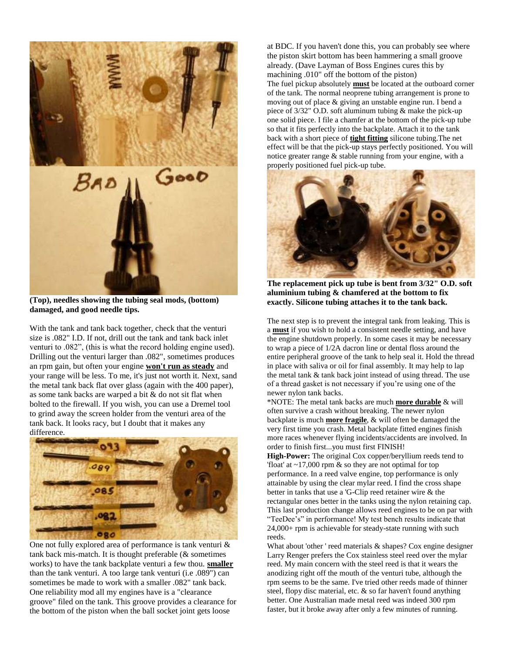

**(Top), needles showing the tubing seal mods, (bottom) damaged, and good needle tips.**

With the tank and tank back together, check that the venturi size is .082" I.D. If not, drill out the tank and tank back inlet venturi to .082", (this is what the record holding engine used). Drilling out the venturi larger than .082", sometimes produces an rpm gain, but often your engine **won't run as steady** and your range will be less. To me, it's just not worth it. Next, sand the metal tank back flat over glass (again with the 400 paper), as some tank backs are warped a bit & do not sit flat when bolted to the firewall. If you wish, you can use a Dremel tool to grind away the screen holder from the venturi area of the tank back. It looks racy, but I doubt that it makes any difference.



One not fully explored area of performance is tank venturi & tank back mis-match. It is thought preferable (& sometimes works) to have the tank backplate venturi a few thou. **smaller** than the tank venturi. A too large tank venturi (i.e .089") can sometimes be made to work with a smaller .082" tank back. One reliability mod all my engines have is a "clearance groove" filed on the tank. This groove provides a clearance for the bottom of the piston when the ball socket joint gets loose

at BDC. If you haven't done this, you can probably see where the piston skirt bottom has been hammering a small groove already. (Dave Layman of Boss Engines cures this by machining .010" off the bottom of the piston) The fuel pickup absolutely **must** be located at the outboard corner of the tank. The normal neoprene tubing arrangement is prone to moving out of place & giving an unstable engine run. I bend a piece of 3/32" O.D. soft aluminum tubing & make the pick-up one solid piece. I file a chamfer at the bottom of the pick-up tube so that it fits perfectly into the backplate. Attach it to the tank back with a short piece of **tight fitting** silicone tubing.The net effect will be that the pick-up stays perfectly positioned. You will notice greater range & stable running from your engine, with a properly positioned fuel pick-up tube.



**The replacement pick up tube is bent from 3/32" O.D. soft aluminium tubing & chamfered at the bottom to fix exactly. Silicone tubing attaches it to the tank back.**

The next step is to prevent the integral tank from leaking. This is a **must** if you wish to hold a consistent needle setting, and have the engine shutdown properly. In some cases it may be necessary to wrap a piece of 1/2A dacron line or dental floss around the entire peripheral groove of the tank to help seal it. Hold the thread in place with saliva or oil for final assembly. It may help to lap the metal tank & tank back joint instead of using thread. The use of a thread gasket is not necessary if you're using one of the newer nylon tank backs.

\*NOTE: The metal tank backs are much **more durable** & will often survive a crash without breaking. The newer nylon backplate is much **more fragile**, & will often be damaged the very first time you crash. Metal backplate fitted engines finish more races whenever flying incidents/accidents are involved. In order to finish first...you must first FINISH!

**High-Power:** The original Cox copper/beryllium reeds tend to 'float' at ~17,000 rpm & so they are not optimal for top performance. In a reed valve engine, top performance is only attainable by using the clear mylar reed. I find the cross shape better in tanks that use a 'G-Clip reed retainer wire & the rectangular ones better in the tanks using the nylon retaining cap. This last production change allows reed engines to be on par with "TeeDee's" in performance! My test bench results indicate that 24,000+ rpm is achievable for steady-state running with such reeds.

What about 'other' reed materials & shapes? Cox engine designer Larry Renger prefers the Cox stainless steel reed over the mylar reed. My main concern with the steel reed is that it wears the anodizing right off the mouth of the venturi tube, although the rpm seems to be the same. I've tried other reeds made of thinner steel, flopy disc material, etc. & so far haven't found anything better. One Australian made metal reed was indeed 300 rpm faster, but it broke away after only a few minutes of running.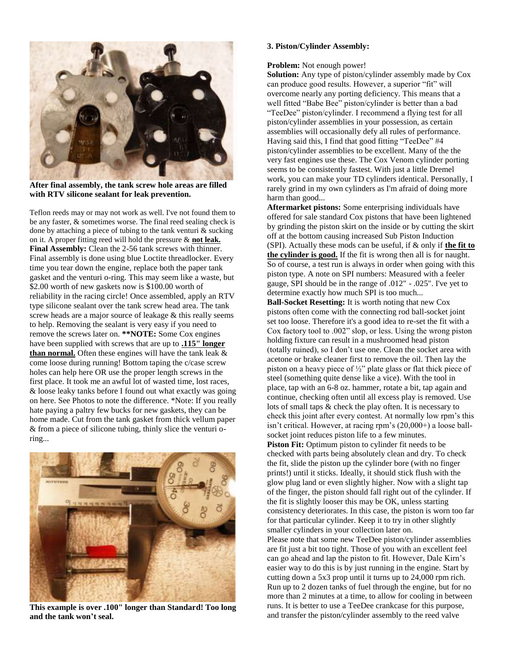

**After final assembly, the tank screw hole areas are filled with RTV silicone sealant for leak prevention.**

Teflon reeds may or may not work as well. I've not found them to be any faster, & sometimes worse. The final reed sealing check is done by attaching a piece of tubing to the tank venturi & sucking on it. A proper fitting reed will hold the pressure & **not leak. Final Assembly:** Clean the 2-56 tank screws with thinner. Final assembly is done using blue Loctite threadlocker. Every time you tear down the engine, replace both the paper tank gasket and the venturi o-ring. This may seem like a waste, but \$2.00 worth of new gaskets now is \$100.00 worth of reliability in the racing circle! Once assembled, apply an RTV type silicone sealant over the tank screw head area. The tank screw heads are a major source of leakage & this really seems to help. Removing the sealant is very easy if you need to remove the screws later on. **\*\*NOTE:** Some Cox engines have been supplied with screws that are up to **.115" longer than normal.** Often these engines will have the tank leak & come loose during running! Bottom taping the c/case screw holes can help here OR use the proper length screws in the first place. It took me an awful lot of wasted time, lost races, & loose leaky tanks before I found out what exactly was going on here. See Photos to note the difference. \*Note: If you really hate paying a paltry few bucks for new gaskets, they can be home made. Cut from the tank gasket from thick vellum paper & from a piece of silicone tubing, thinly slice the venturi oring...



**This example is over .100" longer than Standard! Too long and the tank won't seal.** 

### **3. Piston/Cylinder Assembly:**

#### **Problem:** Not enough power!

**Solution:** Any type of piston/cylinder assembly made by Cox can produce good results. However, a superior "fit" will overcome nearly any porting deficiency. This means that a well fitted "Babe Bee" piston/cylinder is better than a bad "TeeDee" piston/cylinder. I recommend a flying test for all piston/cylinder assemblies in your possession, as certain assemblies will occasionally defy all rules of performance. Having said this, I find that good fitting "TeeDee" #4 piston/cylinder assemblies to be excellent. Many of the the very fast engines use these. The Cox Venom cylinder porting seems to be consistently fastest. With just a little Dremel work, you can make your TD cylinders identical. Personally, I rarely grind in my own cylinders as I'm afraid of doing more harm than good...

**Aftermarket pistons:** Some enterprising individuals have offered for sale standard Cox pistons that have been lightened by grinding the piston skirt on the inside or by cutting the skirt off at the bottom causing increased Sub Piston Induction (SPI). Actually these mods can be useful, if & only if **the fit to the cylinder is good.** If the fit is wrong then all is for naught. So of course, a test run is always in order when going with this piston type. A note on SPI numbers: Measured with a feeler gauge, SPI should be in the range of .012" - .025". I've yet to determine exactly how much SPI is too much...

**Ball-Socket Resetting:** It is worth noting that new Cox pistons often come with the connecting rod ball-socket joint set too loose. Therefore it's a good idea to re-set the fit with a Cox factory tool to .002" slop, or less. Using the wrong piston holding fixture can result in a mushroomed head piston (totally ruined), so I don't use one. Clean the socket area with acetone or brake cleaner first to remove the oil. Then lay the piston on a heavy piece of ½" plate glass or flat thick piece of steel (something quite dense like a vice). With the tool in place, tap with an 6-8 oz. hammer, rotate a bit, tap again and continue, checking often until all excess play is removed. Use lots of small taps & check the play often. It is necessary to check this joint after every contest. At normally low rpm's this isn't critical. However, at racing rpm's (20,000+) a loose ballsocket joint reduces piston life to a few minutes.

**Piston Fit:** Optimum piston to cylinder fit needs to be checked with parts being absolutely clean and dry. To check the fit, slide the piston up the cylinder bore (with no finger prints!) until it sticks. Ideally, it should stick flush with the glow plug land or even slightly higher. Now with a slight tap of the finger, the piston should fall right out of the cylinder. If the fit is slightly looser this may be OK, unless starting consistency deteriorates. In this case, the piston is worn too far for that particular cylinder. Keep it to try in other slightly smaller cylinders in your collection later on. Please note that some new TeeDee piston/cylinder assemblies are fit just a bit too tight. Those of you with an excellent feel can go ahead and lap the piston to fit. However, Dale Kirn's easier way to do this is by just running in the engine. Start by cutting down a 5x3 prop until it turns up to 24,000 rpm rich. Run up to 2 dozen tanks of fuel through the engine, but for no more than 2 minutes at a time, to allow for cooling in between runs. It is better to use a TeeDee crankcase for this purpose, and transfer the piston/cylinder assembly to the reed valve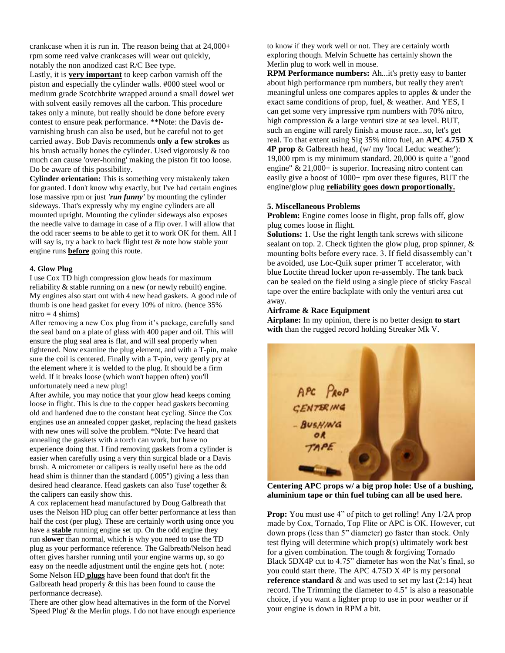crankcase when it is run in. The reason being that at 24,000+ rpm some reed valve crankcases will wear out quickly, notably the non anodized cast R/C Bee type.

Lastly, it is **very important** to keep carbon varnish off the piston and especially the cylinder walls. #000 steel wool or medium grade Scotchbrite wrapped around a small dowel wet with solvent easily removes all the carbon. This procedure takes only a minute, but really should be done before every contest to ensure peak performance. \*\*Note: the Davis devarnishing brush can also be used, but be careful not to get carried away. Bob Davis recommends **only a few strokes** as his brush actually hones the cylinder. Used vigorously & too much can cause 'over-honing' making the piston fit too loose. Do be aware of this possibility.

**Cylinder orientation:** This is something very mistakenly taken for granted. I don't know why exactly, but I've had certain engines lose massive rpm or just *'run funny'* by mounting the cylinder sideways. That's expressly why my engine cylinders are all mounted upright. Mounting the cylinder sideways also exposes the needle valve to damage in case of a flip over. I will allow that the odd racer seems to be able to get it to work OK for them. All I will say is, try a back to back flight test & note how stable your engine runs **before** going this route.

### **4. Glow Plug**

I use Cox TD high compression glow heads for maximum reliability & stable running on a new (or newly rebuilt) engine. My engines also start out with 4 new head gaskets. A good rule of thumb is one head gasket for every 10% of nitro. (hence 35% nitro  $=$  4 shims)

After removing a new Cox plug from it's package, carefully sand the seal band on a plate of glass with 400 paper and oil. This will ensure the plug seal area is flat, and will seal properly when tightened. Now examine the plug element, and with a T-pin, make sure the coil is centered. Finally with a T-pin, very gently pry at the element where it is welded to the plug. It should be a firm weld. If it breaks loose (which won't happen often) you'll unfortunately need a new plug!

After awhile, you may notice that your glow head keeps coming loose in flight. This is due to the copper head gaskets becoming old and hardened due to the constant heat cycling. Since the Cox engines use an annealed copper gasket, replacing the head gaskets with new ones will solve the problem. \*Note: I've heard that annealing the gaskets with a torch can work, but have no experience doing that. I find removing gaskets from a cylinder is easier when carefully using a very thin surgical blade or a Davis brush. A micrometer or calipers is really useful here as the odd head shim is thinner than the standard (.005") giving a less than desired head clearance. Head gaskets can also 'fuse' together & the calipers can easily show this.

A cox replacement head manufactured by Doug Galbreath that uses the Nelson HD plug can offer better performance at less than half the cost (per plug). These are certainly worth using once you have a **stable** running engine set up. On the odd engine they run **slower** than normal, which is why you need to use the TD plug as your performance reference. The Galbreath/Nelson head often gives harsher running until your engine warms up, so go easy on the needle adjustment until the engine gets hot. ( note: Some Nelson HD **plugs** have been found that don't fit the Galbreath head properly & this has been found to cause the performance decrease).

There are other glow head alternatives in the form of the Norvel 'Speed Plug' & the Merlin plugs. I do not have enough experience to know if they work well or not. They are certainly worth exploring though. Melvin Schuette has certainly shown the Merlin plug to work well in mouse.

**RPM Performance numbers:** Ah...it's pretty easy to banter about high performance rpm numbers, but really they aren't meaningful unless one compares apples to apples & under the exact same conditions of prop, fuel, & weather. And YES, I can get some very impressive rpm numbers with 70% nitro, high compression & a large venturi size at sea level. BUT, such an engine will rarely finish a mouse race...so, let's get real. To that extent using Sig 35% nitro fuel, an **APC 4.75D X 4P prop** & Galbreath head, (w/ my 'local Leduc weather'): 19,000 rpm is my minimum standard. 20,000 is quite a "good engine" & 21,000+ is superior. Increasing nitro content can easily give a boost of 1000+ rpm over these figures, BUT the engine/glow plug **reliability goes down proportionally.**

#### **5. Miscellaneous Problems**

**Problem:** Engine comes loose in flight, prop falls off, glow plug comes loose in flight.

**Solutions:** 1. Use the right length tank screws with silicone sealant on top. 2. Check tighten the glow plug, prop spinner, & mounting bolts before every race. 3. If field disassembly can't be avoided, use Loc-Quik super primer T accelerator, with blue Loctite thread locker upon re-assembly. The tank back can be sealed on the field using a single piece of sticky Fascal tape over the entire backplate with only the venturi area cut away.

#### **Airframe & Race Equipment**

**Airplane:** In my opinion, there is no better design **to start with** than the rugged record holding Streaker Mk V.



**Centering APC props w/ a big prop hole: Use of a bushing, aluminium tape or thin fuel tubing can all be used here.** 

**Prop:** You must use 4" of pitch to get rolling! Any  $1/2A$  prop made by Cox, Tornado, Top Flite or APC is OK. However, cut down props (less than 5" diameter) go faster than stock. Only test flying will determine which prop(s) ultimately work best for a given combination. The tough & forgiving Tornado Black 5DX4P cut to 4.75" diameter has won the Nat's final, so you could start there. The APC 4.75D X 4P is my personal **reference standard** & and was used to set my last (2:14) heat record. The Trimming the diameter to 4.5" is also a reasonable choice, if you want a lighter prop to use in poor weather or if your engine is down in RPM a bit.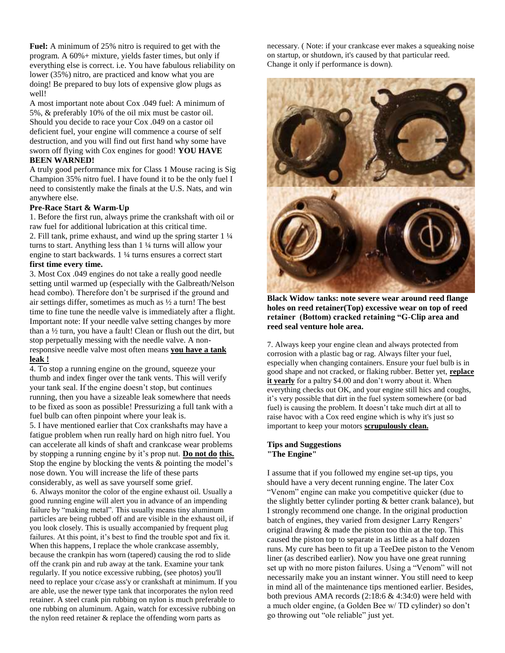**Fuel:** A minimum of 25% nitro is required to get with the program. A 60%+ mixture, yields faster times, but only if everything else is correct. i.e. You have fabulous reliability on lower (35%) nitro, are practiced and know what you are doing! Be prepared to buy lots of expensive glow plugs as well!

A most important note about Cox .049 fuel: A minimum of 5%, & preferably 10% of the oil mix must be castor oil. Should you decide to race your Cox .049 on a castor oil deficient fuel, your engine will commence a course of self destruction, and you will find out first hand why some have sworn off flying with Cox engines for good! **YOU HAVE BEEN WARNED!** 

A truly good performance mix for Class 1 Mouse racing is Sig Champion 35% nitro fuel. I have found it to be the only fuel I need to consistently make the finals at the U.S. Nats, and win anywhere else.

#### **Pre-Race Start & Warm-Up**

1. Before the first run, always prime the crankshaft with oil or raw fuel for additional lubrication at this critical time. 2. Fill tank, prime exhaust, and wind up the spring starter 1 ¼ turns to start. Anything less than 1 ¼ turns will allow your engine to start backwards. 1 ¼ turns ensures a correct start **first time every time.**

3. Most Cox .049 engines do not take a really good needle setting until warmed up (especially with the Galbreath/Nelson head combo). Therefore don't be surprised if the ground and air settings differ, sometimes as much as ½ a turn! The best time to fine tune the needle valve is immediately after a flight. Important note: If your needle valve setting changes by more than a ½ turn, you have a fault! Clean or flush out the dirt, but stop perpetually messing with the needle valve. A nonresponsive needle valve most often means **you have a tank leak !**

4. To stop a running engine on the ground, squeeze your thumb and index finger over the tank vents. This will verify your tank seal. If the engine doesn't stop, but continues running, then you have a sizeable leak somewhere that needs to be fixed as soon as possible! Pressurizing a full tank with a fuel bulb can often pinpoint where your leak is.

5. I have mentioned earlier that Cox crankshafts may have a fatigue problem when run really hard on high nitro fuel. You can accelerate all kinds of shaft and crankcase wear problems by stopping a running engine by it's prop nut. **Do not do this.** Stop the engine by blocking the vents & pointing the model's nose down. You will increase the life of these parts considerably, as well as save yourself some grief.

6. Always monitor the color of the engine exhaust oil. Usually a good running engine will alert you in advance of an impending failure by "making metal". This usually means tiny aluminum particles are being rubbed off and are visible in the exhaust oil, if you look closely. This is usually accompanied by frequent plug failures. At this point, it's best to find the trouble spot and fix it. When this happens, I replace the whole crankcase assembly, because the crankpin has worn (tapered) causing the rod to slide off the crank pin and rub away at the tank. Examine your tank regularly. If you notice excessive rubbing, (see photos) you'll need to replace your c/case ass'y or crankshaft at minimum. If you are able, use the newer type tank that incorporates the nylon reed retainer. A steel crank pin rubbing on nylon is much preferable to one rubbing on aluminum. Again, watch for excessive rubbing on the nylon reed retainer & replace the offending worn parts as

necessary. ( Note: if your crankcase ever makes a squeaking noise on startup, or shutdown, it's caused by that particular reed. Change it only if performance is down).



**Black Widow tanks: note severe wear around reed flange holes on reed retainer(Top) excessive wear on top of reed retainer (Bottom) cracked retaining "G-Clip area and reed seal venture hole area.**

7. Always keep your engine clean and always protected from corrosion with a plastic bag or rag. Always filter your fuel, especially when changing containers. Ensure your fuel bulb is in good shape and not cracked, or flaking rubber. Better yet, **replace it yearly** for a paltry \$4.00 and don't worry about it. When everything checks out OK, and your engine still hics and coughs, it's very possible that dirt in the fuel system somewhere (or bad fuel) is causing the problem. It doesn't take much dirt at all to raise havoc with a Cox reed engine which is why it's just so important to keep your motors **scrupulously clean.** 

### **Tips and Suggestions "The Engine"**

I assume that if you followed my engine set-up tips, you should have a very decent running engine. The later Cox "Venom" engine can make you competitive quicker (due to the slightly better cylinder porting & better crank balance), but I strongly recommend one change. In the original production batch of engines, they varied from designer Larry Rengers' original drawing & made the piston too thin at the top. This caused the piston top to separate in as little as a half dozen runs. My cure has been to fit up a TeeDee piston to the Venom liner (as described earlier). Now you have one great running set up with no more piston failures. Using a "Venom" will not necessarily make you an instant winner. You still need to keep in mind all of the maintenance tips mentioned earlier. Besides, both previous AMA records  $(2.18.6 \& 4.34.0)$  were held with a much older engine, (a Golden Bee w/ TD cylinder) so don't go throwing out "ole reliable" just yet.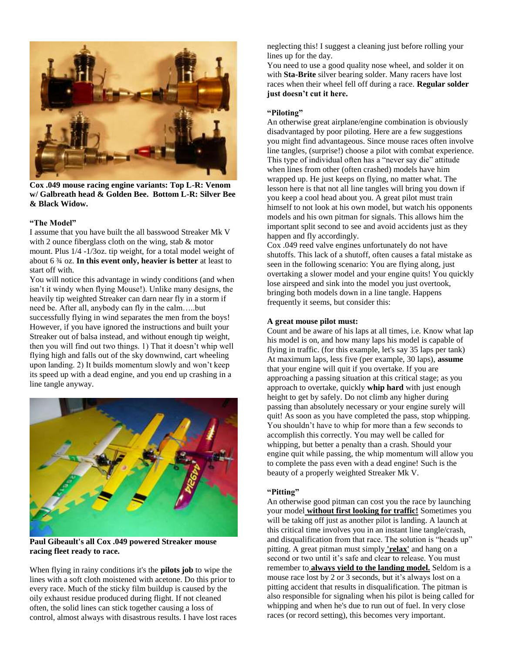

**Cox .049 mouse racing engine variants: Top L-R: Venom w/ Galbreath head & Golden Bee. Bottom L-R: Silver Bee & Black Widow.**

### **"The Model"**

I assume that you have built the all basswood Streaker Mk V with 2 ounce fiberglass cloth on the wing, stab & motor mount. Plus 1/4 -1/3oz. tip weight, for a total model weight of about 6 ¾ oz. **In this event only, heavier is better** at least to start off with.

You will notice this advantage in windy conditions (and when isn't it windy when flying Mouse!). Unlike many designs, the heavily tip weighted Streaker can darn near fly in a storm if need be. After all, anybody can fly in the calm…..but successfully flying in wind separates the men from the boys! However, if you have ignored the instructions and built your Streaker out of balsa instead, and without enough tip weight, then you will find out two things. 1) That it doesn't whip well flying high and falls out of the sky downwind, cart wheeling upon landing. 2) It builds momentum slowly and won't keep its speed up with a dead engine, and you end up crashing in a line tangle anyway.



**Paul Gibeault's all Cox .049 powered Streaker mouse racing fleet ready to race.** 

When flying in rainy conditions it's the **pilots job** to wipe the lines with a soft cloth moistened with acetone. Do this prior to every race. Much of the sticky film buildup is caused by the oily exhaust residue produced during flight. If not cleaned often, the solid lines can stick together causing a loss of control, almost always with disastrous results. I have lost races neglecting this! I suggest a cleaning just before rolling your lines up for the day.

You need to use a good quality nose wheel, and solder it on with **Sta-Brite** silver bearing solder. Many racers have lost races when their wheel fell off during a race. **Regular solder just doesn't cut it here.**

### **"Piloting"**

An otherwise great airplane/engine combination is obviously disadvantaged by poor piloting. Here are a few suggestions you might find advantageous. Since mouse races often involve line tangles, (surprise!) choose a pilot with combat experience. This type of individual often has a "never say die" attitude when lines from other (often crashed) models have him wrapped up. He just keeps on flying, no matter what. The lesson here is that not all line tangles will bring you down if you keep a cool head about you. A great pilot must train himself to not look at his own model, but watch his opponents models and his own pitman for signals. This allows him the important split second to see and avoid accidents just as they happen and fly accordingly.

Cox .049 reed valve engines unfortunately do not have shutoffs. This lack of a shutoff, often causes a fatal mistake as seen in the following scenario: You are flying along, just overtaking a slower model and your engine quits! You quickly lose airspeed and sink into the model you just overtook, bringing both models down in a line tangle. Happens frequently it seems, but consider this:

### **A great mouse pilot must:**

Count and be aware of his laps at all times, i.e. Know what lap his model is on, and how many laps his model is capable of flying in traffic. (for this example, let's say 35 laps per tank) At maximum laps, less five (per example, 30 laps), **assume** that your engine will quit if you overtake. If you are approaching a passing situation at this critical stage; as you approach to overtake, quickly **whip hard** with just enough height to get by safely. Do not climb any higher during passing than absolutely necessary or your engine surely will quit! As soon as you have completed the pass, stop whipping. You shouldn't have to whip for more than a few seconds to accomplish this correctly. You may well be called for whipping, but better a penalty than a crash. Should your engine quit while passing, the whip momentum will allow you to complete the pass even with a dead engine! Such is the beauty of a properly weighted Streaker Mk V.

#### **"Pitting"**

An otherwise good pitman can cost you the race by launching your model **without first looking for traffic!** Sometimes you will be taking off just as another pilot is landing. A launch at this critical time involves you in an instant line tangle/crash, and disqualification from that race. The solution is "heads up" pitting. A great pitman must simply **'relax'** and hang on a second or two until it's safe and clear to release. You must remember to **always yield to the landing model.** Seldom is a mouse race lost by 2 or 3 seconds, but it's always lost on a pitting accident that results in disqualification. The pitman is also responsible for signaling when his pilot is being called for whipping and when he's due to run out of fuel. In very close races (or record setting), this becomes very important.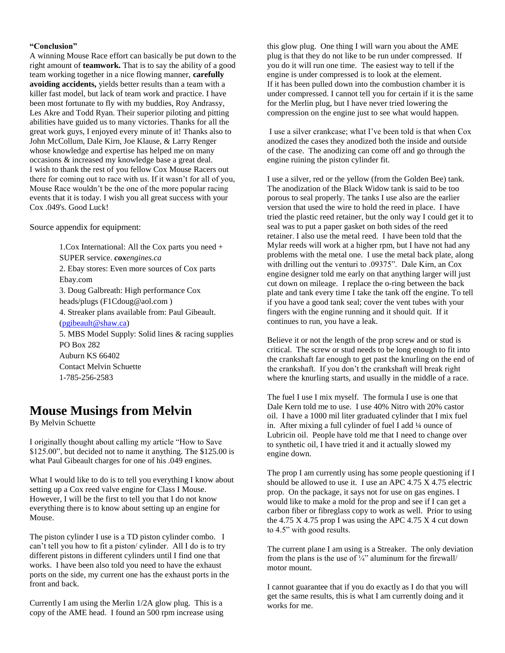### **"Conclusion"**

A winning Mouse Race effort can basically be put down to the right amount of **teamwork.** That is to say the ability of a good team working together in a nice flowing manner, **carefully avoiding accidents,** yields better results than a team with a killer fast model, but lack of team work and practice. I have been most fortunate to fly with my buddies, Roy Andrassy, Les Akre and Todd Ryan. Their superior piloting and pitting abilities have guided us to many victories. Thanks for all the great work guys, I enjoyed every minute of it! Thanks also to John McCollum, Dale Kirn, Joe Klause, & Larry Renger whose knowledge and expertise has helped me on many occasions & increased my knowledge base a great deal. I wish to thank the rest of you fellow Cox Mouse Racers out there for coming out to race with us. If it wasn't for all of you, Mouse Race wouldn't be the one of the more popular racing events that it is today. I wish you all great success with your Cox .049's. Good Luck!

Source appendix for equipment:

1.Cox International: All the Cox parts you need + SUPER service. *coxengines.ca* 2. Ebay stores: Even more sources of Cox parts Ebay.com 3. Doug Galbreath: High performance Cox heads/plugs (F1Cdoug@aol.com ) 4. Streaker plans available from: Paul Gibeault. [\(pgibeault@shaw.ca\)](mailto:pgibeault@shaw.ca) 5. MBS Model Supply: Solid lines & racing supplies PO Box 282 Auburn KS 66402 Contact Melvin Schuette 1-785-256-2583

### **Mouse Musings from Melvin**

By Melvin Schuette

I originally thought about calling my article "How to Save \$125.00", but decided not to name it anything. The \$125.00 is what Paul Gibeault charges for one of his .049 engines.

What I would like to do is to tell you everything I know about setting up a Cox reed valve engine for Class I Mouse. However, I will be the first to tell you that I do not know everything there is to know about setting up an engine for Mouse.

The piston cylinder I use is a TD piston cylinder combo. I can't tell you how to fit a piston/ cylinder. All I do is to try different pistons in different cylinders until I find one that works. I have been also told you need to have the exhaust ports on the side, my current one has the exhaust ports in the front and back.

Currently I am using the Merlin 1/2A glow plug. This is a copy of the AME head. I found an 500 rpm increase using this glow plug. One thing I will warn you about the AME plug is that they do not like to be run under compressed. If you do it will run one time. The easiest way to tell if the engine is under compressed is to look at the element. If it has been pulled down into the combustion chamber it is under compressed. I cannot tell you for certain if it is the same for the Merlin plug, but I have never tried lowering the compression on the engine just to see what would happen.

I use a silver crankcase; what I've been told is that when Cox anodized the cases they anodized both the inside and outside of the case. The anodizing can come off and go through the engine ruining the piston cylinder fit.

I use a silver, red or the yellow (from the Golden Bee) tank. The anodization of the Black Widow tank is said to be too porous to seal properly. The tanks I use also are the earlier version that used the wire to hold the reed in place. I have tried the plastic reed retainer, but the only way I could get it to seal was to put a paper gasket on both sides of the reed retainer. I also use the metal reed. I have been told that the Mylar reeds will work at a higher rpm, but I have not had any problems with the metal one. I use the metal back plate, along with drilling out the venturi to .09375". Dale Kirn, an Cox engine designer told me early on that anything larger will just cut down on mileage. I replace the o-ring between the back plate and tank every time I take the tank off the engine. To tell if you have a good tank seal; cover the vent tubes with your fingers with the engine running and it should quit. If it continues to run, you have a leak.

Believe it or not the length of the prop screw and or stud is critical. The screw or stud needs to be long enough to fit into the crankshaft far enough to get past the knurling on the end of the crankshaft. If you don't the crankshaft will break right where the knurling starts, and usually in the middle of a race.

The fuel I use I mix myself. The formula I use is one that Dale Kern told me to use. I use 40% Nitro with 20% castor oil. I have a 1000 mil liter graduated cylinder that I mix fuel in. After mixing a full cylinder of fuel I add ¼ ounce of Lubricin oil. People have told me that I need to change over to synthetic oil, I have tried it and it actually slowed my engine down.

The prop I am currently using has some people questioning if I should be allowed to use it. I use an APC 4.75 X 4.75 electric prop. On the package, it says not for use on gas engines. I would like to make a mold for the prop and see if I can get a carbon fiber or fibreglass copy to work as well. Prior to using the 4.75 X 4.75 prop I was using the APC 4.75 X 4 cut down to 4.5" with good results.

The current plane I am using is a Streaker. The only deviation from the plans is the use of  $\frac{1}{4}$ " aluminum for the firewall/ motor mount.

I cannot guarantee that if you do exactly as I do that you will get the same results, this is what I am currently doing and it works for me.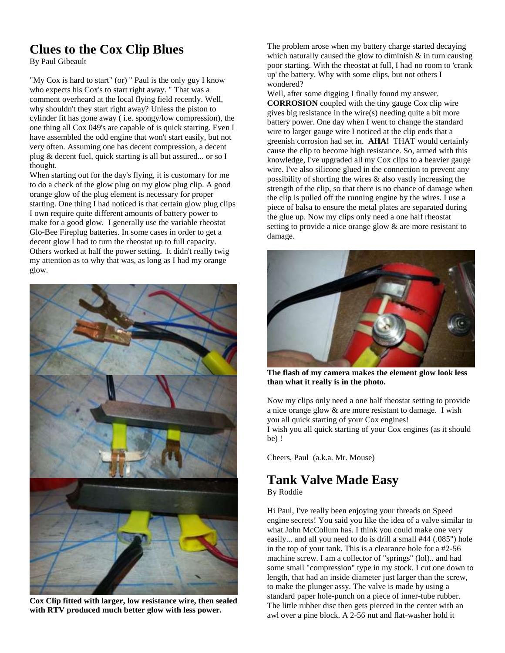### **Clues to the Cox Clip Blues**

By Paul Gibeault

"My Cox is hard to start" (or) " Paul is the only guy I know who expects his Cox's to start right away. " That was a comment overheard at the local flying field recently. Well, why shouldn't they start right away? Unless the piston to cylinder fit has gone away ( i.e. spongy/low compression), the one thing all Cox 049's are capable of is quick starting. Even I have assembled the odd engine that won't start easily, but not very often. Assuming one has decent compression, a decent plug & decent fuel, quick starting is all but assured... or so I thought.

When starting out for the day's flying, it is customary for me to do a check of the glow plug on my glow plug clip. A good orange glow of the plug element is necessary for proper starting. One thing I had noticed is that certain glow plug clips I own require quite different amounts of battery power to make for a good glow. I generally use the variable rheostat Glo-Bee Fireplug batteries. In some cases in order to get a decent glow I had to turn the rheostat up to full capacity. Others worked at half the power setting. It didn't really twig my attention as to why that was, as long as I had my orange glow.



**Cox Clip fitted with larger, low resistance wire, then sealed with RTV produced much better glow with less power.**

The problem arose when my battery charge started decaying which naturally caused the glow to diminish  $\&$  in turn causing poor starting. With the rheostat at full, I had no room to 'crank up' the battery. Why with some clips, but not others I wondered?

Well, after some digging I finally found my answer. **CORROSION** coupled with the tiny gauge Cox clip wire gives big resistance in the wire(s) needing quite a bit more battery power. One day when I went to change the standard wire to larger gauge wire I noticed at the clip ends that a greenish corrosion had set in. **AHA!** THAT would certainly cause the clip to become high resistance. So, armed with this knowledge, I've upgraded all my Cox clips to a heavier gauge wire. I've also silicone glued in the connection to prevent any possibility of shorting the wires  $\&$  also vastly increasing the strength of the clip, so that there is no chance of damage when the clip is pulled off the running engine by the wires. I use a piece of balsa to ensure the metal plates are separated during the glue up. Now my clips only need a one half rheostat setting to provide a nice orange glow  $\&$  are more resistant to damage.



**The flash of my camera makes the element glow look less than what it really is in the photo.**

Now my clips only need a one half rheostat setting to provide a nice orange glow & are more resistant to damage. I wish you all quick starting of your Cox engines!

I wish you all quick starting of your Cox engines (as it should be) !

Cheers, Paul (a.k.a. Mr. Mouse)

### **Tank Valve Made Easy** By Roddie

Hi Paul, I've really been enjoying your threads on Speed engine secrets! You said you like the idea of a valve similar to what John McCollum has. I think you could make one very easily... and all you need to do is drill a small #44 (.085") hole in the top of your tank. This is a clearance hole for a #2-56 machine screw. I am a collector of "springs" (lol).. and had some small "compression" type in my stock. I cut one down to length, that had an inside diameter just larger than the screw, to make the plunger assy. The valve is made by using a standard paper hole-punch on a piece of inner-tube rubber. The little rubber disc then gets pierced in the center with an awl over a pine block. A 2-56 nut and flat-washer hold it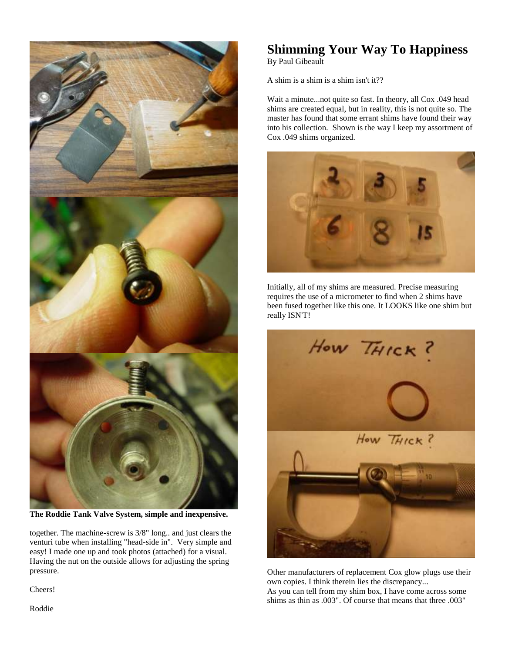

**The Roddie Tank Valve System, simple and inexpensive.**

together. The machine-screw is 3/8" long.. and just clears the venturi tube when installing "head-side in". Very simple and easy! I made one up and took photos (attached) for a visual. Having the nut on the outside allows for adjusting the spring pressure.

Cheers!

## **Shimming Your Way To Happiness**

By Paul Gibeault

A shim is a shim is a shim isn't it??

Wait a minute...not quite so fast. In theory, all Cox .049 head shims are created equal, but in reality, this is not quite so. The master has found that some errant shims have found their way into his collection. Shown is the way I keep my assortment of Cox .049 shims organized.



Initially, all of my shims are measured. Precise measuring requires the use of a micrometer to find when 2 shims have been fused together like this one. It LOOKS like one shim but really ISN'T!



Other manufacturers of replacement Cox glow plugs use their own copies. I think therein lies the discrepancy... As you can tell from my shim box, I have come across some shims as thin as .003". Of course that means that three .003"

Roddie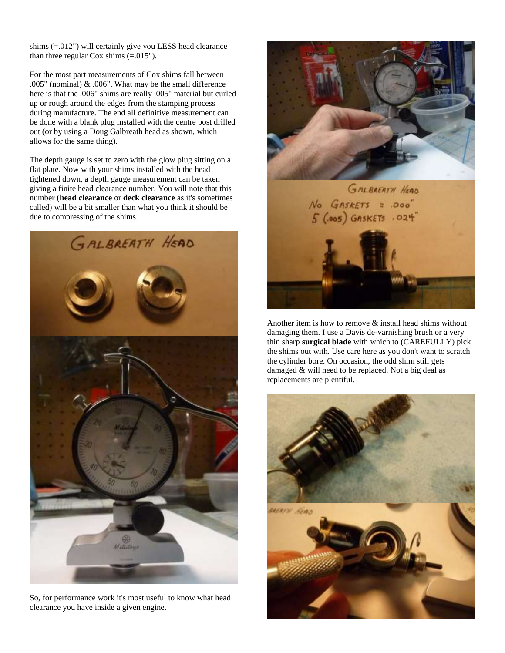shims (=.012") will certainly give you LESS head clearance than three regular Cox shims  $(=0.015")$ .

For the most part measurements of Cox shims fall between .005" (nominal) & .006". What may be the small difference here is that the .006" shims are really .005" material but curled up or rough around the edges from the stamping process during manufacture. The end all definitive measurement can be done with a blank plug installed with the centre post drilled out (or by using a Doug Galbreath head as shown, which allows for the same thing).

The depth gauge is set to zero with the glow plug sitting on a flat plate. Now with your shims installed with the head tightened down, a depth gauge measurement can be taken giving a finite head clearance number. You will note that this number (**head clearance** or **deck clearance** as it's sometimes called) will be a bit smaller than what you think it should be due to compressing of the shims.



So, for performance work it's most useful to know what head clearance you have inside a given engine.



Another item is how to remove & install head shims without damaging them. I use a Davis de-varnishing brush or a very thin sharp **surgical blade** with which to (CAREFULLY) pick the shims out with. Use care here as you don't want to scratch the cylinder bore. On occasion, the odd shim still gets damaged & will need to be replaced. Not a big deal as replacements are plentiful.

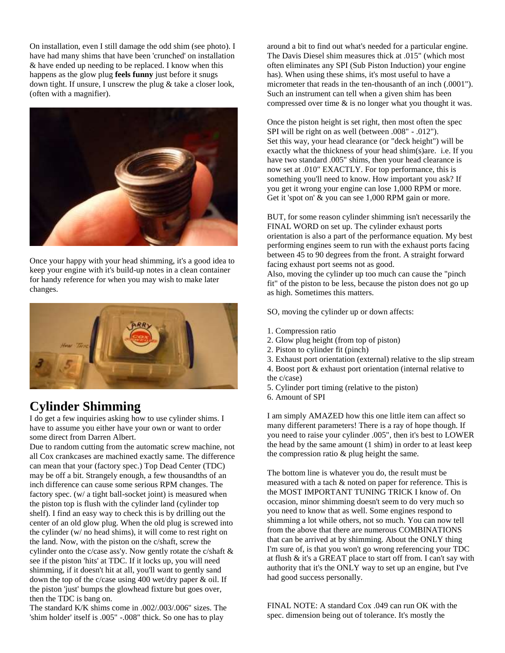On installation, even I still damage the odd shim (see photo). I have had many shims that have been 'crunched' on installation & have ended up needing to be replaced. I know when this happens as the glow plug **feels funny** just before it snugs down tight. If unsure, I unscrew the plug & take a closer look, (often with a magnifier).



Once your happy with your head shimming, it's a good idea to keep your engine with it's build-up notes in a clean container for handy reference for when you may wish to make later changes.



### **Cylinder Shimming**

I do get a few inquiries asking how to use cylinder shims. I have to assume you either have your own or want to order some direct from Darren Albert.

Due to random cutting from the automatic screw machine, not all Cox crankcases are machined exactly same. The difference can mean that your (factory spec.) Top Dead Center (TDC) may be off a bit. Strangely enough, a few thousandths of an inch difference can cause some serious RPM changes. The factory spec. (w/ a tight ball-socket joint) is measured when the piston top is flush with the cylinder land (cylinder top shelf). I find an easy way to check this is by drilling out the center of an old glow plug. When the old plug is screwed into the cylinder (w/ no head shims), it will come to rest right on the land. Now, with the piston on the c/shaft, screw the cylinder onto the c/case ass'y. Now gently rotate the c/shaft & see if the piston 'hits' at TDC. If it locks up, you will need shimming, if it doesn't hit at all, you'll want to gently sand down the top of the c/case using 400 wet/dry paper & oil. If the piston 'just' bumps the glowhead fixture but goes over, then the TDC is bang on.

The standard K/K shims come in .002/.003/.006" sizes. The 'shim holder' itself is .005" -.008" thick. So one has to play

around a bit to find out what's needed for a particular engine. The Davis Diesel shim measures thick at .015" (which most often eliminates any SPI (Sub Piston Induction) your engine has). When using these shims, it's most useful to have a micrometer that reads in the ten-thousanth of an inch (.0001"). Such an instrument can tell when a given shim has been compressed over time & is no longer what you thought it was.

Once the piston height is set right, then most often the spec SPI will be right on as well (between .008" - .012"). Set this way, your head clearance (or "deck height") will be exactly what the thickness of your head shim(s)are. i.e. If you have two standard .005" shims, then your head clearance is now set at .010" EXACTLY. For top performance, this is something you'll need to know. How important you ask? If you get it wrong your engine can lose 1,000 RPM or more. Get it 'spot on' & you can see 1,000 RPM gain or more.

BUT, for some reason cylinder shimming isn't necessarily the FINAL WORD on set up. The cylinder exhaust ports orientation is also a part of the performance equation. My best performing engines seem to run with the exhaust ports facing between 45 to 90 degrees from the front. A straight forward facing exhaust port seems not as good.

Also, moving the cylinder up too much can cause the "pinch fit" of the piston to be less, because the piston does not go up as high. Sometimes this matters.

SO, moving the cylinder up or down affects:

- 1. Compression ratio
- 2. Glow plug height (from top of piston)
- 2. Piston to cylinder fit (pinch)
- 3. Exhaust port orientation (external) relative to the slip stream
- 4. Boost port & exhaust port orientation (internal relative to the c/case)
- 5. Cylinder port timing (relative to the piston)
- 6. Amount of SPI

I am simply AMAZED how this one little item can affect so many different parameters! There is a ray of hope though. If you need to raise your cylinder .005", then it's best to LOWER the head by the same amount (1 shim) in order to at least keep the compression ratio  $\&$  plug height the same.

The bottom line is whatever you do, the result must be measured with a tach & noted on paper for reference. This is the MOST IMPORTANT TUNING TRICK I know of. On occasion, minor shimming doesn't seem to do very much so you need to know that as well. Some engines respond to shimming a lot while others, not so much. You can now tell from the above that there are numerous COMBINATIONS that can be arrived at by shimming. About the ONLY thing I'm sure of, is that you won't go wrong referencing your TDC at flush & it's a GREAT place to start off from. I can't say with authority that it's the ONLY way to set up an engine, but I've had good success personally.

FINAL NOTE: A standard Cox .049 can run OK with the spec. dimension being out of tolerance. It's mostly the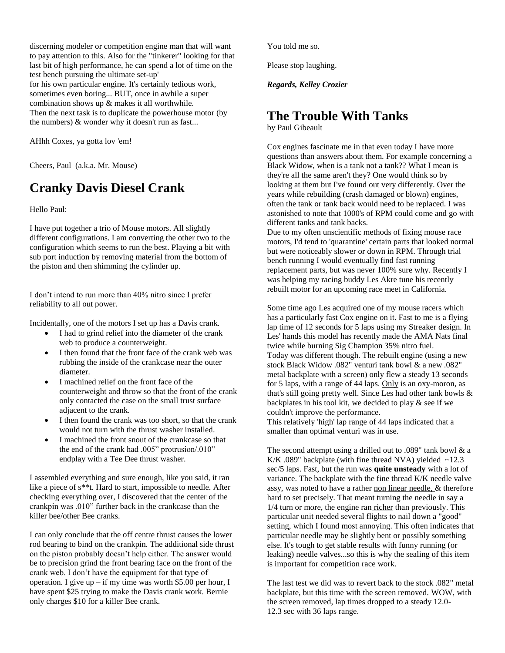discerning modeler or competition engine man that will want to pay attention to this. Also for the "tinkerer" looking for that last bit of high performance, he can spend a lot of time on the test bench pursuing the ultimate set-up' for his own particular engine. It's certainly tedious work, sometimes even boring... BUT, once in awhile a super combination shows up & makes it all worthwhile. Then the next task is to duplicate the powerhouse motor (by the numbers) & wonder why it doesn't run as fast...

AHhh Coxes, ya gotta lov 'em!

Cheers, Paul (a.k.a. Mr. Mouse)

### **Cranky Davis Diesel Crank**

Hello Paul:

I have put together a trio of Mouse motors. All slightly different configurations. I am converting the other two to the configuration which seems to run the best. Playing a bit with sub port induction by removing material from the bottom of the piston and then shimming the cylinder up.

I don't intend to run more than 40% nitro since I prefer reliability to all out power.

Incidentally, one of the motors I set up has a Davis crank.

- I had to grind relief into the diameter of the crank web to produce a counterweight.
- I then found that the front face of the crank web was rubbing the inside of the crankcase near the outer diameter.
- I machined relief on the front face of the counterweight and throw so that the front of the crank only contacted the case on the small trust surface adjacent to the crank.
- I then found the crank was too short, so that the crank would not turn with the thrust washer installed.
- I machined the front snout of the crankcase so that the end of the crank had .005" protrusion/.010" endplay with a Tee Dee thrust washer.

I assembled everything and sure enough, like you said, it ran like a piece of s\*\*t. Hard to start, impossible to needle. After checking everything over, I discovered that the center of the crankpin was .010" further back in the crankcase than the killer bee/other Bee cranks.

I can only conclude that the off centre thrust causes the lower rod bearing to bind on the crankpin. The additional side thrust on the piston probably doesn't help either. The answer would be to precision grind the front bearing face on the front of the crank web. I don't have the equipment for that type of operation. I give up – if my time was worth \$5.00 per hour, I have spent \$25 trying to make the Davis crank work. Bernie only charges \$10 for a killer Bee crank.

You told me so.

Please stop laughing.

*Regards, Kelley Crozier*

### **The Trouble With Tanks**

by Paul Gibeault

Cox engines fascinate me in that even today I have more questions than answers about them. For example concerning a Black Widow, when is a tank not a tank?? What I mean is they're all the same aren't they? One would think so by looking at them but I've found out very differently. Over the years while rebuilding (crash damaged or blown) engines, often the tank or tank back would need to be replaced. I was astonished to note that 1000's of RPM could come and go with different tanks and tank backs.

Due to my often unscientific methods of fixing mouse race motors, I'd tend to 'quarantine' certain parts that looked normal but were noticeably slower or down in RPM. Through trial bench running I would eventually find fast running replacement parts, but was never 100% sure why. Recently I was helping my racing buddy Les Akre tune his recently rebuilt motor for an upcoming race meet in California.

Some time ago Les acquired one of my mouse racers which has a particularly fast Cox engine on it. Fast to me is a flying lap time of 12 seconds for 5 laps using my Streaker design. In Les' hands this model has recently made the AMA Nats final twice while burning Sig Champion 35% nitro fuel. Today was different though. The rebuilt engine (using a new stock Black Widow .082" venturi tank bowl & a new .082" metal backplate with a screen) only flew a steady 13 seconds for 5 laps, with a range of 44 laps. Only is an oxy-moron, as that's still going pretty well. Since Les had other tank bowls & backplates in his tool kit, we decided to play & see if we couldn't improve the performance. This relatively 'high' lap range of 44 laps indicated that a

smaller than optimal venturi was in use.

The second attempt using a drilled out to .089" tank bowl & a K/K .089" backplate (with fine thread NVA) yielded  $\sim$ 12.3 sec/5 laps. Fast, but the run was **quite unsteady** with a lot of variance. The backplate with the fine thread K/K needle valve assy, was noted to have a rather non linear needle, & therefore hard to set precisely. That meant turning the needle in say a 1/4 turn or more, the engine ran richer than previously. This particular unit needed several flights to nail down a "good" setting, which I found most annoying. This often indicates that particular needle may be slightly bent or possibly something else. It's tough to get stable results with funny running (or leaking) needle valves...so this is why the sealing of this item is important for competition race work.

The last test we did was to revert back to the stock .082" metal backplate, but this time with the screen removed. WOW, with the screen removed, lap times dropped to a steady 12.0- 12.3 sec with 36 laps range.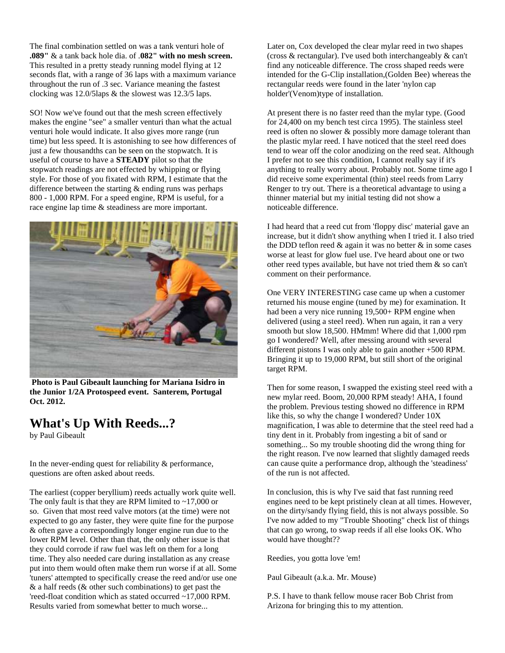The final combination settled on was a tank venturi hole of **.089"** & a tank back hole dia. of .**082" with no mesh screen.** This resulted in a pretty steady running model flying at 12 seconds flat, with a range of 36 laps with a maximum variance throughout the run of .3 sec. Variance meaning the fastest clocking was 12.0/5laps & the slowest was 12.3/5 laps.

SO! Now we've found out that the mesh screen effectively makes the engine "see" a smaller venturi than what the actual venturi hole would indicate. It also gives more range (run time) but less speed. It is astonishing to see how differences of just a few thousandths can be seen on the stopwatch. It is useful of course to have a **STEADY** pilot so that the stopwatch readings are not effected by whipping or flying style. For those of you fixated with RPM, I estimate that the difference between the starting  $\&$  ending runs was perhaps 800 - 1,000 RPM. For a speed engine, RPM is useful, for a race engine lap time & steadiness are more important.



**Photo is Paul Gibeault launching for Mariana Isidro in the Junior 1/2A Protospeed event. Santerem, Portugal Oct. 2012.**

### **What's Up With Reeds...?**

by Paul Gibeault

In the never-ending quest for reliability & performance, questions are often asked about reeds.

The earliest (copper beryllium) reeds actually work quite well. The only fault is that they are RPM limited to  $\sim$ 17,000 or so. Given that most reed valve motors (at the time) were not expected to go any faster, they were quite fine for the purpose & often gave a correspondingly longer engine run due to the lower RPM level. Other than that, the only other issue is that they could corrode if raw fuel was left on them for a long time. They also needed care during installation as any crease put into them would often make them run worse if at all. Some 'tuners' attempted to specifically crease the reed and/or use one & a half reeds (& other such combinations) to get past the 'reed-float condition which as stated occurred ~17,000 RPM. Results varied from somewhat better to much worse...

Later on, Cox developed the clear mylar reed in two shapes (cross & rectangular). I've used both interchangeably & can't find any noticeable difference. The cross shaped reeds were intended for the G-Clip installation,(Golden Bee) whereas the rectangular reeds were found in the later 'nylon cap holder'(Venom)type of installation.

At present there is no faster reed than the mylar type. (Good for 24,400 on my bench test circa 1995). The stainless steel reed is often no slower & possibly more damage tolerant than the plastic mylar reed. I have noticed that the steel reed does tend to wear off the color anodizing on the reed seat. Although I prefer not to see this condition, I cannot really say if it's anything to really worry about. Probably not. Some time ago I did receive some experimental (thin) steel reeds from Larry Renger to try out. There is a theoretical advantage to using a thinner material but my initial testing did not show a noticeable difference.

I had heard that a reed cut from 'floppy disc' material gave an increase, but it didn't show anything when I tried it. I also tried the DDD teflon reed  $\&$  again it was no better  $\&$  in some cases worse at least for glow fuel use. I've heard about one or two other reed types available, but have not tried them & so can't comment on their performance.

One VERY INTERESTING case came up when a customer returned his mouse engine (tuned by me) for examination. It had been a very nice running 19,500+ RPM engine when delivered (using a steel reed). When run again, it ran a very smooth but slow 18,500. HMmm! Where did that 1,000 rpm go I wondered? Well, after messing around with several different pistons I was only able to gain another +500 RPM. Bringing it up to 19,000 RPM, but still short of the original target RPM.

Then for some reason, I swapped the existing steel reed with a new mylar reed. Boom, 20,000 RPM steady! AHA, I found the problem. Previous testing showed no difference in RPM like this, so why the change I wondered? Under 10X magnification, I was able to determine that the steel reed had a tiny dent in it. Probably from ingesting a bit of sand or something... So my trouble shooting did the wrong thing for the right reason. I've now learned that slightly damaged reeds can cause quite a performance drop, although the 'steadiness' of the run is not affected.

In conclusion, this is why I've said that fast running reed engines need to be kept pristinely clean at all times. However, on the dirty/sandy flying field, this is not always possible. So I've now added to my "Trouble Shooting" check list of things that can go wrong, to swap reeds if all else looks OK. Who would have thought??

Reedies, you gotta love 'em!

Paul Gibeault (a.k.a. Mr. Mouse)

P.S. I have to thank fellow mouse racer Bob Christ from Arizona for bringing this to my attention.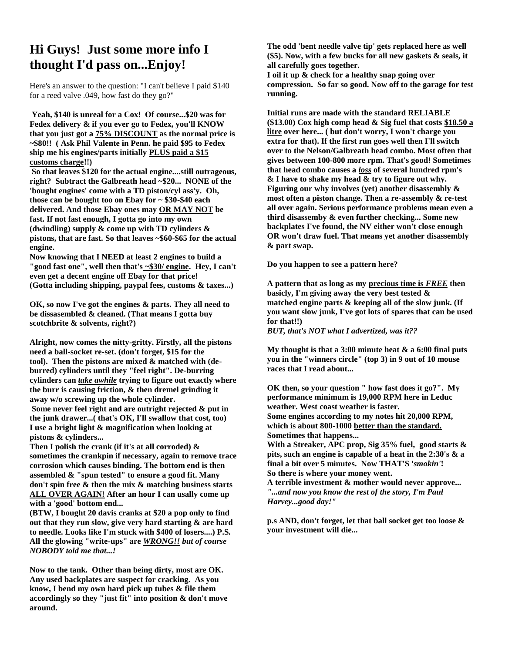### **Hi Guys! Just some more info I thought I'd pass on...Enjoy!**

Here's an answer to the question: "I can't believe I paid \$140 for a reed valve .049, how fast do they go?"

**Yeah, \$140 is unreal for a Cox! Of course...\$20 was for Fedex delivery & if you ever go to Fedex, you'll KNOW that you just got a 75% DISCOUNT as the normal price is ~\$80!! ( Ask Phil Valente in Penn. he paid \$95 to Fedex ship me his engines/parts initially PLUS paid a \$15 customs charge!!)**

**So that leaves \$120 for the actual engine....still outrageous, right? Subtract the Galbreath head ~\$20... NONE of the 'bought engines' come with a TD piston/cyl ass'y. Oh, those can be bought too on Ebay for ~ \$30-\$40 each delivered. And those Ebay ones may OR MAY NOT be fast. If not fast enough, I gotta go into my own (dwindling) supply & come up with TD cylinders & pistons, that are fast. So that leaves ~\$60-\$65 for the actual engine.**

**Now knowing that I NEED at least 2 engines to build a "good fast one", well then that's ~\$30/ engine. Hey, I can't even get a decent engine off Ebay for that price! (Gotta including shipping, paypal fees, customs & taxes...)**

**OK, so now I've got the engines & parts. They all need to be dissasembled & cleaned. (That means I gotta buy scotchbrite & solvents, right?)**

**Alright, now comes the nitty-gritty. Firstly, all the pistons need a ball-socket re-set. (don't forget, \$15 for the tool). Then the pistons are mixed & matched with (deburred) cylinders until they "feel right". De-burring cylinders can** *take awhile* **trying to figure out exactly where the burr is causing friction, & then dremel grinding it away w/o screwing up the whole cylinder. Some never feel right and are outright rejected & put in the junk drawer...( that's OK, I'll swallow that cost, too) I use a bright light & magnification when looking at pistons & cylinders...**

**Then I polish the crank (if it's at all corroded) & sometimes the crankpin if necessary, again to remove trace corrosion which causes binding. The bottom end is then assembled & "spun tested" to ensure a good fit. Many don't spin free & then the mix & matching business starts ALL OVER AGAIN! After an hour I can usally come up with a 'good' bottom end...**

**(BTW, I bought 20 davis cranks at \$20 a pop only to find out that they run slow, give very hard starting & are hard to needle. Looks like I'm stuck with \$400 of losers....) P.S. All the glowing "write-ups" are** *WRONG!! but of course NOBODY told me that...!*

**Now to the tank. Other than being dirty, most are OK. Any used backplates are suspect for cracking. As you know, I bend my own hard pick up tubes & file them accordingly so they "just fit" into position & don't move around.**

**The odd 'bent needle valve tip' gets replaced here as well (\$5). Now, with a few bucks for all new gaskets & seals, it all carefully goes together.**

**I oil it up & check for a healthy snap going over compression. So far so good. Now off to the garage for test running.**

**Initial runs are made with the standard RELIABLE (\$13.00) Cox high comp head & Sig fuel that costs \$18.50 a litre over here... ( but don't worry, I won't charge you extra for that). If the first run goes well then I'll switch over to the Nelson/Galbreath head combo. Most often that gives between 100-800 more rpm. That's good! Sometimes that head combo causes a** *loss* **of several hundred rpm's & I have to shake my head & try to figure out why. Figuring our why involves (yet) another disassembly & most often a piston change. Then a re-assembly & re-test all over again. Serious performance problems mean even a third disassemby & even further checking... Some new backplates I've found, the NV either won't close enough OR won't draw fuel. That means yet another disassembly & part swap.**

**Do you happen to see a pattern here?** 

**A pattern that as long as my precious time is** *FREE* **then basicly, I'm giving away the very best tested & matched engine parts & keeping all of the slow junk. (If you want slow junk, I've got lots of spares that can be used for that!!)**

*BUT, that's NOT what I advertized, was it??*

**My thought is that a 3:00 minute heat & a 6:00 final puts you in the "winners circle" (top 3) in 9 out of 10 mouse races that I read about...** 

**OK then, so your question " how fast does it go?". My performance minimum is 19,000 RPM here in Leduc weather. West coast weather is faster. Some engines according to my notes hit 20,000 RPM, which is about 800-1000 better than the standard. Sometimes that happens...**

**With a Streaker, APC prop, Sig 35% fuel, good starts & pits, such an engine is capable of a heat in the 2:30's & a final a bit over 5 minutes. Now THAT'S '***smokin'***! So there is where your money went.**

**A terrible investment & mother would never approve...** *"...and now you know the rest of the story, I'm Paul Harvey...good day!"*

**p.s AND, don't forget, let that ball socket get too loose & your investment will die...**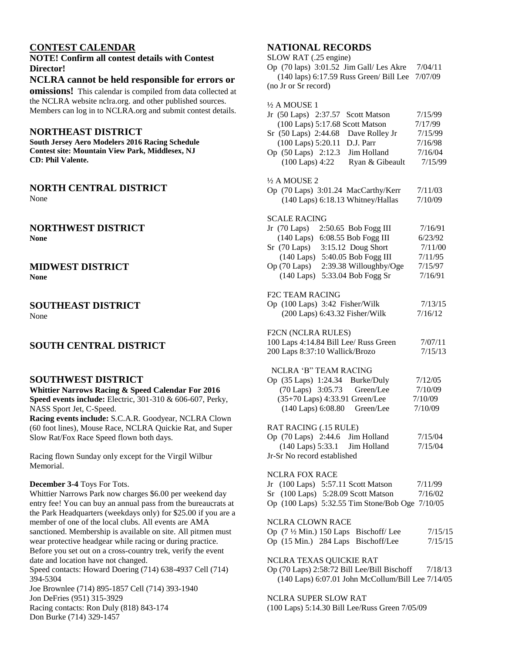### **CONTEST CALENDAR**

### **NOTE! Confirm all contest details with Contest Director!**

### **NCLRA cannot be held responsible for errors or**

**omissions!** This calendar is compiled from data collected at the NCLRA website nclra.org. and other published sources. Members can log in to NCLRA.org and submit contest details.

### **NORTHEAST DISTRICT**

**South Jersey Aero Modelers 2016 Racing Schedule Contest site: Mountain View Park, Middlesex, NJ CD: Phil Valente.**

### **NORTH CENTRAL DISTRICT**

None

### **NORTHWEST DISTRICT None**

### **MIDWEST DISTRICT**

**None**

### **SOUTHEAST DISTRICT** None

### **SOUTH CENTRAL DISTRICT**

### **SOUTHWEST DISTRICT**

**Whittier Narrows Racing & Speed Calendar For 2016 Speed events include:** Electric, 301-310 & 606-607, Perky, NASS Sport Jet, C-Speed.

**Racing events include:** S.C.A.R. Goodyear, NCLRA Clown (60 foot lines), Mouse Race, NCLRA Quickie Rat, and Super Slow Rat/Fox Race Speed flown both days.

Racing flown Sunday only except for the Virgil Wilbur Memorial.

### **December 3-4** Toys For Tots.

Whittier Narrows Park now charges \$6.00 per weekend day entry fee! You can buy an annual pass from the bureaucrats at the Park Headquarters (weekdays only) for \$25.00 if you are a member of one of the local clubs. All events are AMA sanctioned. Membership is available on site. All pitmen must wear protective headgear while racing or during practice. Before you set out on a cross-country trek, verify the event date and location have not changed.

Speed contacts: Howard Doering (714) 638-4937 Cell (714) 394-5304

Joe Brownlee (714) 895-1857 Cell (714) 393-1940 Jon DeFries (951) 315-3929 Racing contacts: Ron Duly (818) 843-174 Don Burke (714) 329-1457

### **NATIONAL RECORDS**

SLOW RAT (.25 engine)

Op (70 laps) 3:01.52 Jim Gall/ Les Akre 7/04/11 (140 laps) 6:17.59 Russ Green/ Bill Lee 7/07/09 (no Jr or Sr record)

| $\frac{1}{2}$ A MOUSE 1<br>Jr (50 Laps) 2:37.57<br><b>Scott Matson</b><br>(100 Laps) 5:17.68 Scott Matson<br>Sr (50 Laps) 2:44.68<br>Dave Rolley Jr<br>(100 Laps) 5:20.11<br>D.J. Parr<br>Op (50 Laps) 2:12.3<br>Jim Holland<br>$(100$ Laps) $4:22$<br>Ryan & Gibeault<br>$\frac{1}{2}$ A MOUSE 2 | 7/15/99<br>7/17/99<br>7/15/99<br>7/16/98<br>7/16/04<br>7/15/99 |
|---------------------------------------------------------------------------------------------------------------------------------------------------------------------------------------------------------------------------------------------------------------------------------------------------|----------------------------------------------------------------|
| Op (70 Laps) 3:01.24 MacCarthy/Kerr<br>(140 Laps) 6:18.13 Whitney/Hallas                                                                                                                                                                                                                          | 7/11/03<br>7/10/09                                             |
| <b>SCALE RACING</b><br>Jr $(70 \text{ Laps})$<br>2:50.65 Bob Fogg III<br>$(140$ Laps)<br>6:08.55 Bob Fogg III<br>$Sr$ (70 Laps)<br>3:15.12 Doug Short<br>5:40.05 Bob Fogg III<br>$(140 \text{ Laps})$<br>Op (70 Laps)<br>2:39.38 Willoughby/Oge<br>$(140$ Laps)<br>5:33.04 Bob Fogg Sr            | 7/16/91<br>6/23/92<br>7/11/00<br>7/11/95<br>7/15/97<br>7/16/91 |
| <b>F2C TEAM RACING</b><br>Op (100 Laps) 3:42 Fisher/Wilk<br>(200 Laps) 6:43.32 Fisher/Wilk                                                                                                                                                                                                        | 7/13/15<br>7/16/12                                             |
| F2CN (NCLRA RULES)<br>100 Laps 4:14.84 Bill Lee/ Russ Green<br>200 Laps 8:37:10 Wallick/Brozo                                                                                                                                                                                                     | 7/07/11<br>7/15/13                                             |
| NCLRA 'B" TEAM RACING<br>Op (35 Laps) 1:24.34<br>Burke/Duly<br>(70 Laps) 3:05.73<br>Green/Lee<br>(35+70 Laps) 4:33.91 Green/Lee<br>(140 Laps) 6:08.80<br>Green/Lee                                                                                                                                | 7/12/05<br>7/10/09<br>7/10/09<br>7/10/09                       |
| RAT RACING (.15 RULE)<br>Op (70 Laps) 2:44.6 Jim Holland<br>(140 Laps) 5:33.1 Jim Holland<br>Jr-Sr No record established                                                                                                                                                                          | 7/15/04<br>7/15/04                                             |
| <b>NCLRA FOX RACE</b><br>Jr (100 Laps) 5:57.11 Scott Matson<br>(100 Laps) 5:28.09 Scott Matson<br>Sr<br>Op (100 Laps) 5:32.55 Tim Stone/Bob Oge 7/10/05                                                                                                                                           | 7/11/99<br>7/16/02                                             |
| <b>NCLRA CLOWN RACE</b><br>Op $(7\frac{1}{2}$ Min.) 150 Laps<br>Bischoff/Lee<br>Op (15 Min.) 284 Laps<br>Bischoff/Lee                                                                                                                                                                             | 7/15/15<br>7/15/15                                             |
| NCLRA TEXAS QUICKIE RAT<br>Op (70 Laps) 2:58:72 Bill Lee/Bill Bischoff 7/18/13<br>(140 Laps) 6:07.01 John McCollum/Bill Lee 7/14/05                                                                                                                                                               |                                                                |

NCLRA SUPER SLOW RAT

(100 Laps) 5:14.30 Bill Lee/Russ Green 7/05/09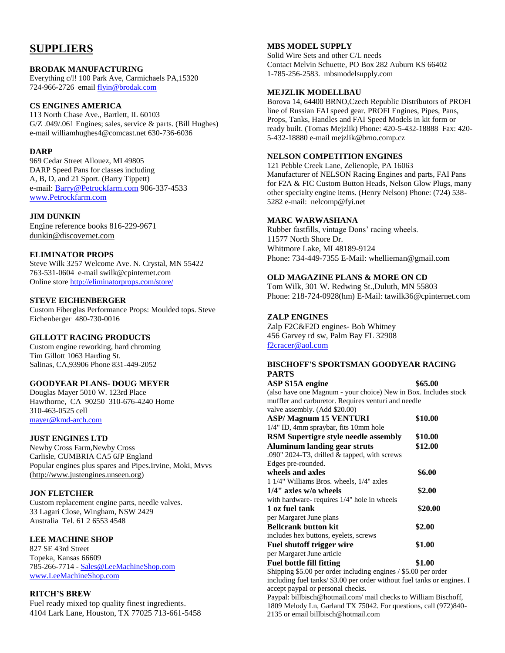### **SUPPLIERS**

### **BRODAK MANUFACTURING**

Everything c/l! 100 Park Ave, Carmichaels PA,15320 724-966-2726 email [flyin@brodak.com](mailto:flyin@brodak.com)

### **CS ENGINES AMERICA**

113 North Chase Ave., Bartlett, IL 60103 G/Z .049/.061 Engines; sales, service & parts. (Bill Hughes) e-mail williamhughes4@comcast.net 630-736-6036

### **DARP**

969 Cedar Street Allouez, MI 49805 DARP Speed Pans for classes including A, B, D, and 21 Sport. (Barry Tippett) e-mail: [Barry@Petrockfarm.com](mailto:Barry@Petrockfarm.com) 906-337-4533 [www.Petrockfarm.com](http://www.petrockfarm.com/)

### **JIM DUNKIN**

Engine reference books 816-229-9671 [dunkin@discovernet.com](mailto:dunkin@discovernet.com)

### **ELIMINATOR PROPS**

Steve Wilk 3257 Welcome Ave. N. Crystal, MN 55422 763-531-0604 e-mail swilk@cpinternet.com Online store<http://eliminatorprops.com/store/>

### **STEVE EICHENBERGER**

Custom Fiberglas Performance Props: Moulded tops. Steve Eichenberger 480-730-0016

### **GILLOTT RACING PRODUCTS**

Custom engine reworking, hard chroming Tim Gillott 1063 Harding St. Salinas, CA,93906 Phone 831-449-2052

### **GOODYEAR PLANS- DOUG MEYER**

Douglas Mayer 5010 W. 123rd Place Hawthorne, CA 90250 310-676-4240 Home 310-463-0525 cell [mayer@kmd-arch.com](mailto:mayer@kmd-arch.com)

### **JUST ENGINES LTD**

Newby Cross Farm,Newby Cross Carlisle, CUMBRIA CA5 6JP England Popular engines plus spares and Pipes.Irvine, Moki, Mvvs [\(http://www.justengines.unseen.org\)](http://www.justengines.unseen.org/)

### **JON FLETCHER**

Custom replacement engine parts, needle valves. 33 Lagari Close, Wingham, NSW 2429 Australia Tel. 61 2 6553 4548

### **LEE MACHINE SHOP**

827 SE 43rd Street Topeka, Kansas 66609 785-266-7714 - [Sales@LeeMachineShop.com](mailto:Sales@LeeMachineShop.com) [www.LeeMachineShop.com](http://www.leemachineshop.com/)

### **RITCH'S BREW**

Fuel ready mixed top quality finest ingredients. 4104 Lark Lane, Houston, TX 77025 713-661-5458

### **MBS MODEL SUPPLY**

Solid Wire Sets and other C/L needs Contact Melvin Schuette, PO Box 282 Auburn KS 66402 1-785-256-2583. mbsmodelsupply.com

### **MEJZLIK MODELLBAU**

Borova 14, 64400 BRNO,Czech Republic Distributors of PROFI line of Russian FAI speed gear. PROFI Engines, Pipes, Pans, Props, Tanks, Handles and FAI Speed Models in kit form or ready built. (Tomas Mejzlik) Phone: 420-5-432-18888 Fax: 420- 5-432-18880 e-mail mejzlik@brno.comp.cz

### **NELSON COMPETITION ENGINES**

121 Pebble Creek Lane, Zelienople, PA 16063 Manufacturer of NELSON Racing Engines and parts, FAI Pans for F2A & FIC Custom Button Heads, Nelson Glow Plugs, many other specialty engine items. (Henry Nelson) Phone: (724) 538- 5282 e-mail: nelcomp@fyi.net

### **MARC WARWASHANA**

Rubber fastfills, vintage Dons' racing wheels. 11577 North Shore Dr. Whitmore Lake, MI 48189-9124 Phone: 734-449-7355 E-Mail: whellieman@gmail.com

### **OLD MAGAZINE PLANS & MORE ON CD**

Tom Wilk, 301 W. Redwing St.,Duluth, MN 55803 Phone: 218-724-0928(hm) E-Mail: tawilk36@cpinternet.com

### **ZALP ENGINES**

Zalp F2C&F2D engines- Bob Whitney 456 Garvey rd sw, Palm Bay FL 32908 [f2cracer@aol.com](mailto:f2cracer@aol.com)

### **BISCHOFF'S SPORTSMAN GOODYEAR RACING PARTS**

| ASP S15A engine                                                         | \$65.00 |
|-------------------------------------------------------------------------|---------|
| (also have one Magnum - your choice) New in Box. Includes stock         |         |
| muffler and carburetor. Requires venturi and needle                     |         |
| valve assembly. (Add \$20.00)                                           |         |
| <b>ASP/Magnum 15 VENTURI</b>                                            | \$10.00 |
| 1/4" ID, 4mm spraybar, fits 10mm hole                                   |         |
| <b>RSM</b> Supertigre style needle assembly                             | \$10.00 |
| <b>Aluminum landing gear struts</b>                                     | \$12.00 |
| .090" 2024-T3, drilled & tapped, with screws                            |         |
| Edges pre-rounded.                                                      |         |
| wheels and axles                                                        | \$6.00  |
| 1 1/4" Williams Bros. wheels, 1/4" axles                                |         |
| $1/4$ " axles w/o wheels                                                | \$2.00  |
| with hardware-requires 1/4" hole in wheels                              |         |
| 1 oz fuel tank                                                          | \$20.00 |
| per Margaret June plans                                                 |         |
| <b>Bellcrank button kit</b>                                             | \$2.00  |
| includes hex buttons, eyelets, screws                                   |         |
| <b>Fuel shutoff trigger wire</b>                                        | \$1.00  |
| per Margaret June article                                               |         |
| <b>Fuel bottle fill fitting</b>                                         | \$1.00  |
| Shipping \$5.00 per order including engines / \$5.00 per order          |         |
| including fuel tanks/ \$3.00 per order without fuel tanks or engines. I |         |
| accept paypal or personal checks.                                       |         |

Paypal: billbisch@hotmail.com/ mail checks to William Bischoff, 1809 Melody Ln, Garland TX 75042. For questions, call (972)840- 2135 or email billbisch@hotmail.com